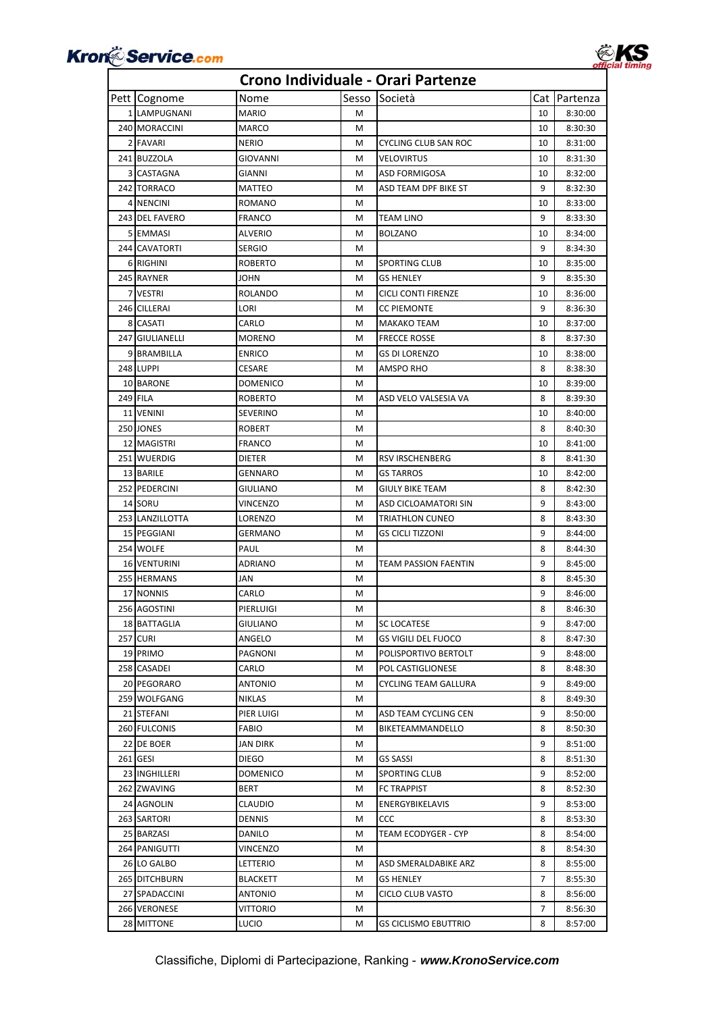



| Pett Cognome        | Nome            | Sesso | Società                     |                | Cat Partenza |
|---------------------|-----------------|-------|-----------------------------|----------------|--------------|
| 1 LAMPUGNANI        | MARIO           | м     |                             | 10             | 8:30:00      |
| 240 MORACCINI       | MARCO           | м     |                             | 10             | 8:30:30      |
| 2 FAVARI            | NERIO           | м     | CYCLING CLUB SAN ROC        | 10             | 8:31:00      |
| 241 BUZZOLA         | GIOVANNI        | М     | VELOVIRTUS                  | 10             | 8:31:30      |
| 3 CASTAGNA          | GIANNI          | м     | ASD FORMIGOSA               | 10             | 8:32:00      |
| 242 TORRACO         | MATTEO          | М     | ASD TEAM DPF BIKE ST        | 9              | 8:32:30      |
| 4 NENCINI           | ROMANO          | м     |                             | 10             | 8:33:00      |
| 243 DEL FAVERO      | FRANCO          | м     | TEAM LINO                   | 9              | 8:33:30      |
| 5 EMMASI            | ALVERIO         | М     | <b>BOLZANO</b>              | 10             | 8:34:00      |
| 244 CAVATORTI       | <b>SERGIO</b>   | M     |                             | 9              | 8:34:30      |
| 6 RIGHINI           | ROBERTO         | М     | <b>SPORTING CLUB</b>        | 10             | 8:35:00      |
| 245 RAYNER          | JOHN            | М     | <b>GS HENLEY</b>            | 9              | 8:35:30      |
| 7 VESTRI            | ROLANDO         | М     | CICLI CONTI FIRENZE         | 10             | 8:36:00      |
| 246 CILLERAI        | LORI            | м     | CC PIEMONTE                 | 9              | 8:36:30      |
| 8 CASATI            | CARLO           | м     | MAKAKO TEAM                 | 10             | 8:37:00      |
| 247 GIULIANELLI     | MORENO          | M     | <b>FRECCE ROSSE</b>         | 8              | 8:37:30      |
| 9 BRAMBILLA         | <b>ENRICO</b>   | М     | <b>GS DI LORENZO</b>        | 10             | 8:38:00      |
| 248 LUPPI           | CESARE          | М     | AMSPO RHO                   | 8              | 8:38:30      |
| 10 BARONE           | DOMENICO        | М     |                             | 10             | 8:39:00      |
| 249 FILA            | ROBERTO         | М     | ASD VELO VALSESIA VA        | 8              | 8:39:30      |
| 11 VENINI           | SEVERINO        | М     |                             | 10             | 8:40:00      |
| 250 JONES           | ROBERT          | М     |                             | 8              | 8:40:30      |
| 12 MAGISTRI         | FRANCO          | М     |                             | 10             | 8:41:00      |
| 251 WUERDIG         | DIETER          | М     | <b>RSV IRSCHENBERG</b>      | 8              | 8:41:30      |
| 13 BARILE           | GENNARO         | М     | GS TARROS                   | 10             | 8:42:00      |
| 252 PEDERCINI       | GIULIANO        | м     | GIULY BIKE TEAM             | 8              | 8:42:30      |
| 14 SORU             | VINCENZO        | М     | ASD CICLOAMATORI SIN        | 9              | 8:43:00      |
| 253 LANZILLOTTA     | LORENZO         | M     | TRIATHLON CUNEO             | 8              | 8:43:30      |
| 15 PEGGIANI         | GERMANO         | м     | GS CICLI TIZZONI            | 9              | 8:44:00      |
| 254 WOLFE           | PAUL            | М     |                             | 8              | 8:44:30      |
| <b>16 VENTURINI</b> | ADRIANO         | М     | <b>TEAM PASSION FAENTIN</b> | 9              | 8:45:00      |
| 255 HERMANS         | JAN             | М     |                             | 8              | 8:45:30      |
| <b>17 NONNIS</b>    | CARLO           | м     |                             | 9              | 8:46:00      |
| 256 AGOSTINI        | PIERLUIGI       | М     |                             | 8              | 8:46:30      |
| 18 BATTAGLIA        | <b>GIULIANO</b> | М     | <b>SC LOCATESE</b>          | 9              | 8:47:00      |
| 257 CURI            | ANGELO          | M     | GS VIGILI DEL FUOCO         | 8              | 8:47:30      |
| 19 PRIMO            | PAGNONI         | M     | POLISPORTIVO BERTOLT        | 9              | 8:48:00      |
| 258 CASADEI         | CARLO           | М     | POL CASTIGLIONESE           | 8              | 8:48:30      |
| 20 PEGORARO         | ANTONIO         | М     | CYCLING TEAM GALLURA        | 9              | 8:49:00      |
| 259 WOLFGANG        | NIKLAS          | М     |                             | 8              | 8:49:30      |
| 21 STEFANI          | PIER LUIGI      | м     | ASD TEAM CYCLING CEN        | 9              | 8:50:00      |
| 260 FULCONIS        | FABIO           | М     | BIKETEAMMANDELLO            | 8              | 8:50:30      |
| 22 DE BOER          | JAN DIRK        | М     |                             | 9              | 8:51:00      |
| 261 GESI            | DIEGO           | M     | GS SASSI                    | 8              | 8:51:30      |
| 23 INGHILLERI       | DOMENICO        | М     | <b>SPORTING CLUB</b>        | 9              | 8:52:00      |
| 262 ZWAVING         | BERT            | М     | <b>FC TRAPPIST</b>          | 8              | 8:52:30      |
| 24 AGNOLIN          | CLAUDIO         | М     | ENERGYBIKELAVIS             | 9              | 8:53:00      |
| 263 SARTORI         | DENNIS          | М     | CCC                         | 8              | 8:53:30      |
| 25 BARZASI          | DANILO          | М     | TEAM ECODYGER - CYP         | 8              | 8:54:00      |
| 264 PANIGUTTI       | VINCENZO        | М     |                             | 8              | 8:54:30      |
| 26 LO GALBO         | LETTERIO        | М     | ASD SMERALDABIKE ARZ        | 8              | 8:55:00      |
| 265 DITCHBURN       | BLACKETT        | М     | GS HENLEY                   | $\overline{7}$ | 8:55:30      |
| 27 SPADACCINI       | ANTONIO         | М     | CICLO CLUB VASTO            | 8              | 8:56:00      |
| 266 VERONESE        | Vittorio        | м     |                             | 7              | 8:56:30      |
| 28 MITTONE          | LUCIO           | М     | GS CICLISMO EBUTTRIO        | 8              | 8:57:00      |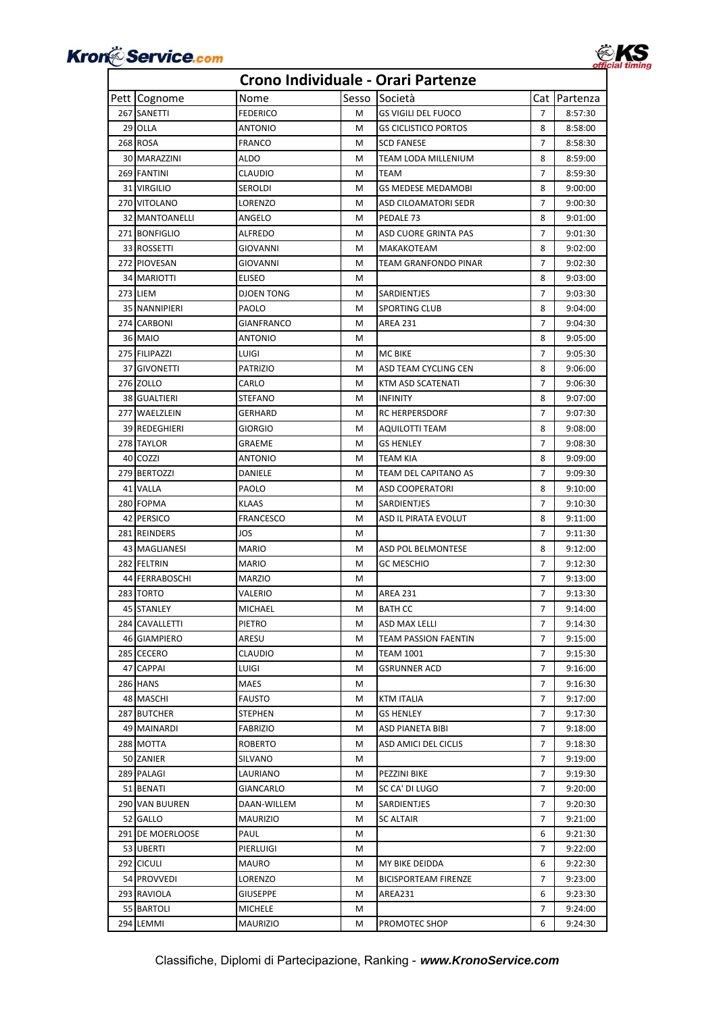



| Pett Cognome          | Nome              | Sesso | Società                     | Cat I          | Partenza |
|-----------------------|-------------------|-------|-----------------------------|----------------|----------|
| 267 SANETTI           | <b>FEDERICO</b>   | м     | <b>GS VIGILI DEL FUOCO</b>  | $\overline{7}$ | 8:57:30  |
| 29 OLLA               | ANTONIO           | м     | <b>GS CICLISTICO PORTOS</b> | 8              | 8:58:00  |
| 268 ROSA              | FRANCO            | м     | SCD FANESE                  | $\overline{7}$ | 8:58:30  |
| 30 MARAZZINI          | ALDO              | м     | TEAM LODA MILLENIUM         | 8              | 8:59:00  |
| 269 FANTINI           | CLAUDIO           | м     | TEAM                        | 7              | 8:59:30  |
| 31 VIRGILIO           | SEROLDI           | м     | <b>GS MEDESE MEDAMOBI</b>   | 8              | 9:00:00  |
| 270 VITOLANO          | LORENZO           | м     | ASD CILOAMATORI SEDR        | $\overline{7}$ | 9:00:30  |
| <b>32 MANTOANELLI</b> | ANGELO            | M     | PEDALE 73                   | 8              | 9:01:00  |
| 271 BONFIGLIO         | ALFREDO           | м     | ASD CUORE GRINTA PAS        | $\overline{7}$ | 9:01:30  |
| 33 ROSSETTI           | GIOVANNI          | M     | MAKAKOTEAM                  | 8              | 9:02:00  |
| 272 PIOVESAN          | GIOVANNI          | м     | TEAM GRANFONDO PINAR        | 7              | 9:02:30  |
| 34 MARIOTTI           | ELISEO            | м     |                             | 8              | 9:03:00  |
| 273 LIEM              | DJOEN TONG        | м     | SARDIENTJES                 | $\overline{7}$ | 9:03:30  |
| 35 NANNIPIERI         | PAOLO             | M     | SPORTING CLUB               | 8              | 9:04:00  |
| 274 CARBONI           | <b>GIANFRANCO</b> | м     | AREA 231                    | $\overline{7}$ | 9:04:30  |
| 36 MAIO               | ANTONIO           | м     |                             | 8              | 9:05:00  |
| 275 FILIPAZZI         | LUIGI             | м     | MC BIKE                     | 7              | 9:05:30  |
| 37 GIVONETTI          | PATRIZIO          | м     | ASD TEAM CYCLING CEN        | 8              | 9:06:00  |
| <b>276 ZOLLO</b>      | CARLO             | м     | KTM ASD SCATENATI           | 7              | 9:06:30  |
| 38 GUALTIERI          | STEFANO           | м     | <b>INFINITY</b>             | 8              | 9:07:00  |
| 277 WAELZLEIN         | GERHARD           | м     | <b>RC HERPERSDORF</b>       | $\overline{7}$ | 9:07:30  |
| 39 REDEGHIERI         | GIORGIO           | м     | AQUILOTTI TEAM              | 8              | 9:08:00  |
|                       |                   | м     |                             | $\overline{7}$ |          |
| 278 TAYLOR            | GRAEME            |       | GS HENLEY                   |                | 9:08:30  |
| 40 COZZI              | ANTONIO           | м     | TEAM KIA                    | 8              | 9:09:00  |
| 279 BERTOZZI          | DANIELE           | м     | TEAM DEL CAPITANO AS        | $\overline{7}$ | 9:09:30  |
| 41 VALLA              | PAOLO             | м     | ASD COOPERATORI             | 8              | 9:10:00  |
| 280 FOPMA             | KLAAS             | м     | SARDIENTJES                 | $\overline{7}$ | 9:10:30  |
| 42 PERSICO            | <b>FRANCESCO</b>  | м     | ASD IL PIRATA EVOLUT        | 8              | 9:11:00  |
| 281 REINDERS          | JOS               | м     |                             | 7              | 9:11:30  |
| 43 MAGLIANESI         | MARIO             | м     | ASD POL BELMONTESE          | 8              | 9:12:00  |
| 282 FELTRIN           | MARIO             | м     | <b>GC MESCHIO</b>           | $\overline{7}$ | 9:12:30  |
| 44 FERRABOSCHI        | <b>MARZIO</b>     | м     |                             | $\overline{7}$ | 9:13:00  |
| 283 TORTO             | VALERIO           | M     | <b>AREA 231</b>             | 7              | 9:13:30  |
| 45 STANLEY            | MICHAEL           | м     | <b>BATH CC</b>              | 7              | 9:14:00  |
| 284 CAVALLETTI        | PIETRO            | м     | ASD MAX LELLI               | $\overline{7}$ | 9:14:30  |
| 46 GIAMPIERO          | ARESU             | м     | TEAM PASSION FAENTIN        | $\overline{7}$ | 9:15:00  |
| 285 CECERO            | CLAUDIO           | м     | TEAM 1001                   | $\overline{7}$ | 9:15:30  |
| 47 CAPPAI             | LUIGI             | м     | <b>GSRUNNER ACD</b>         | $\overline{7}$ | 9:16:00  |
| <b>286 HANS</b>       | MAES              | м     |                             | 7              | 9:16:30  |
| 48 MASCHI             | FAUSTO            | м     | KTM ITALIA                  | 7              | 9:17:00  |
| 287 BUTCHER           | STEPHEN           | м     | GS HENLEY                   | 7              | 9:17:30  |
| 49 MAINARDI           | FABRIZIO          | м     | ASD PIANETA BIBI            | 7              | 9:18:00  |
| 288 MOTTA             | ROBERTO           | м     | ASD AMICI DEL CICLIS        | 7              | 9:18:30  |
| 50 ZANIER             | SILVANO           | м     |                             | 7              | 9:19:00  |
| 289 PALAGI            | LAURIANO          | м     | PEZZINI BIKE                | 7              | 9:19:30  |
| 51 BENATI             | GIANCARLO         | м     | SC CA' DI LUGO              | 7              | 9:20:00  |
| 290 VAN BUUREN        | DAAN-WILLEM       | м     | SARDIENTJES                 | 7              | 9:20:30  |
| 52 GALLO              | MAURIZIO          | м     | <b>SC ALTAIR</b>            | $\overline{7}$ | 9:21:00  |
| 291 DE MOERLOOSE      | PAUL              | м     |                             | 6              | 9:21:30  |
| 53 UBERTI             | PIERLUIGI         | м     |                             | 7              | 9:22:00  |
| 292 CICULI            | MAURO             | м     | MY BIKE DEIDDA              | 6              | 9:22:30  |
| 54 PROVVEDI           | LORENZO           | м     | <b>BICISPORTEAM FIRENZE</b> | 7              | 9:23:00  |
| 293 RAVIOLA           | GIUSEPPE          | м     | AREA231                     | 6              | 9:23:30  |
| 55 BARTOLI            | MICHELE           | м     |                             | 7              | 9:24:00  |
| 294 LEMMI             | <b>MAURIZIO</b>   | м     | PROMOTEC SHOP               | 6              | 9:24:30  |
|                       |                   |       |                             |                |          |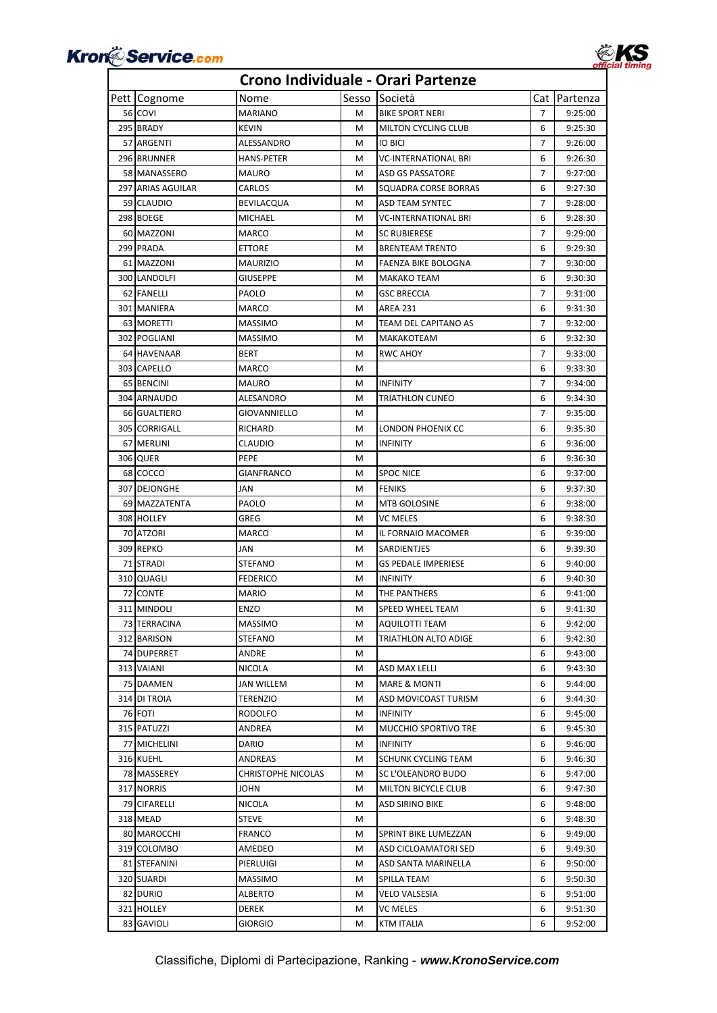



| Pett Cognome      | Nome               | Sesso | Società                    |                | Cat   Partenza |
|-------------------|--------------------|-------|----------------------------|----------------|----------------|
| 56 COVI           | MARIANO            | м     | <b>BIKE SPORT NERI</b>     | $\overline{7}$ | 9:25:00        |
| 295 BRADY         | <b>KEVIN</b>       | м     | <b>MILTON CYCLING CLUB</b> | 6              | 9:25:30        |
| 57 ARGENTI        | ALESSANDRO         | м     | IO BICI                    | 7              | 9:26:00        |
| 296 BRUNNER       | HANS-PETER         | м     | VC-INTERNATIONAL BRI       | 6              | 9:26:30        |
| 58 MANASSERO      | MAURO              | м     | ASD GS PASSATORE           | 7              | 9:27:00        |
| 297 ARIAS AGUILAR | CARLOS             | м     | SQUADRA CORSE BORRAS       | 6              | 9:27:30        |
| 59 CLAUDIO        | BEVILACQUA         | м     | ASD TEAM SYNTEC            | 7              | 9:28:00        |
| 298 BOEGE         | <b>MICHAEL</b>     | м     | VC-INTERNATIONAL BRI       | 6              | 9:28:30        |
| 60 MAZZONI        | MARCO              | M     | <b>SC RUBIERESE</b>        | 7              | 9:29:00        |
| 299 PRADA         | <b>ETTORE</b>      | M     | <b>BRENTEAM TRENTO</b>     | 6              | 9:29:30        |
| 61 MAZZONI        | MAURIZIO           | м     | FAENZA BIKE BOLOGNA        | 7              | 9:30:00        |
| 300 LANDOLFI      | <b>GIUSEPPE</b>    | м     | MAKAKO TEAM                | 6              | 9:30:30        |
| 62 FANELLI        | PAOLO              | м     | <b>GSC BRECCIA</b>         | 7              | 9:31:00        |
| 301 MANIERA       | MARCO              | м     | AREA 231                   | 6              | 9:31:30        |
| 63 MORETTI        | MASSIMO            | M     | TEAM DEL CAPITANO AS       | 7              | 9:32:00        |
| 302 POGLIANI      | <b>MASSIMO</b>     | м     | MAKAKOTEAM                 | 6              | 9:32:30        |
| 64 HAVENAAR       | BERT               | M     | RWC AHOY                   | 7              | 9:33:00        |
| 303 CAPELLO       | MARCO              | м     |                            | 6              | 9:33:30        |
| 65 BENCINI        | <b>MAURO</b>       | м     | <b>INFINITY</b>            | 7              | 9:34:00        |
| 304 ARNAUDO       | ALESANDRO          | м     | TRIATHLON CUNEO            | 6              | 9:34:30        |
| 66 GUALTIERO      | GIOVANNIELLO       | м     |                            | 7              | 9:35:00        |
| 305 CORRIGALL     | RICHARD            | M     | LONDON PHOENIX CC          | 6              | 9:35:30        |
| 67 MERLINI        | CLAUDIO            | м     | <b>INFINITY</b>            | 6              | 9:36:00        |
| 306 QUER          | PEPE               | м     |                            | 6              | 9:36:30        |
| 68 COCCO          | <b>GIANFRANCO</b>  | м     | <b>SPOC NICE</b>           | 6              | 9:37:00        |
| 307 DEJONGHE      | JAN                | M     | <b>FENIKS</b>              | 6              | 9:37:30        |
| 69 MAZZATENTA     | PAOLO              | м     | MTB GOLOSINE               | 6              | 9:38:00        |
| 308 HOLLEY        | GREG               | M     | VC MELES                   | 6              | 9:38:30        |
| 70 ATZORI         | MARCO              | м     | IL FORNAIO MACOMER         | 6              | 9:39:00        |
| 309 REPKO         | JAN                | м     | SARDIENTJES                | 6              | 9:39:30        |
| 71 STRADI         | STEFANO            | м     | <b>GS PEDALE IMPERIESE</b> | 6              | 9:40:00        |
| 310 QUAGLI        | <b>FEDERICO</b>    | м     | <b>INFINITY</b>            | 6              | 9:40:30        |
| 72 CONTE          | MARIO              | м     | THE PANTHERS               | 6              | 9:41:00        |
| 311 MINDOLI       | ENZO               | м     | SPEED WHEEL TEAM           | 6              | 9:41:30        |
| 73 TERRACINA      | MASSIMO            | М     | <b>AQUILOTTI TEAM</b>      | 6              | 9:42:00        |
| 312 BARISON       | STEFANO            | M     | TRIATHLON ALTO ADIGE       | 6              | 9:42:30        |
| 74 DUPERRET       | ANDRE              | м     |                            | 6              | 9:43:00        |
| 313 VAIANI        | NICOLA             | м     | ASD MAX LELLI              | 6              | 9:43:30        |
| 75 DAAMEN         | JAN WILLEM         | М     | MARE & MONTI               | 6              | 9:44:00        |
| 314 DI TROIA      | TERENZIO           | м     | ASD MOVICOAST TURISM       | 6              | 9:44:30        |
| 76 FOTI           | RODOLFO            | м     | <b>INFINITY</b>            | 6              | 9:45:00        |
| 315 PATUZZI       | ANDREA             | М     | MUCCHIO SPORTIVO TRE       | 6              | 9:45:30        |
| 77 MICHELINI      | DARIO              | м     | <b>INFINITY</b>            | 6              | 9:46:00        |
| 316 KUEHL         | ANDREAS            | М     | SCHUNK CYCLING TEAM        | 6              | 9:46:30        |
| 78 MASSEREY       | CHRISTOPHE NICOLAS | м     | SC L'OLEANDRO BUDO         | 6              | 9:47:00        |
| 317 NORRIS        | JOHN               | м     | MILTON BICYCLE CLUB        | 6              | 9:47:30        |
| 79 CIFARELLI      | NICOLA             | М     | ASD SIRINO BIKE            | 6              | 9:48:00        |
| 318 MEAD          | STEVE              | м     |                            | 6              | 9:48:30        |
| 80 MAROCCHI       | FRANCO             | м     | SPRINT BIKE LUMEZZAN       | 6              | 9:49:00        |
| 319 COLOMBO       | AMEDEO             | м     | ASD CICLOAMATORI SED       | 6              | 9:49:30        |
| 81 STEFANINI      | PIERLUIGI          | м     | ASD SANTA MARINELLA        | 6              | 9:50:00        |
| 320 SUARDI        | MASSIMO            | м     | SPILLA TEAM                | 6              | 9:50:30        |
| 82 DURIO          | ALBERTO            | м     | VELO VALSESIA              | 6              | 9:51:00        |
| 321 HOLLEY        | DEREK              | м     | VC MELES                   | 6              | 9:51:30        |
| 83 GAVIOLI        | GIORGIO            | М     | KTM ITALIA                 | 6              | 9:52:00        |
|                   |                    |       |                            |                |                |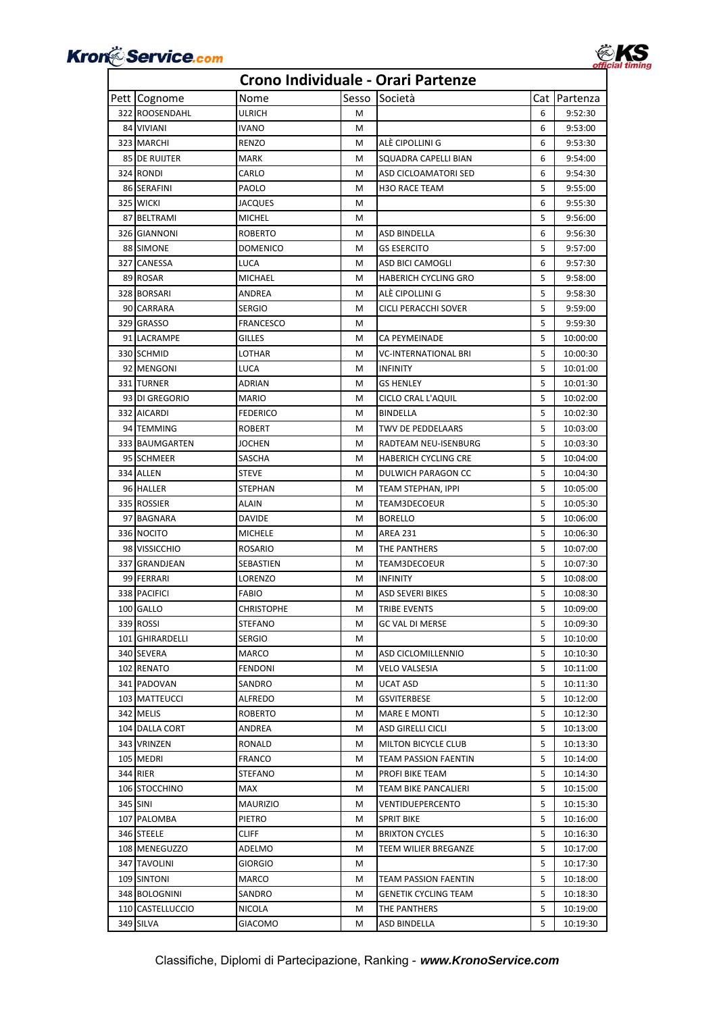



| Pett Cognome     | Nome              | Sesso | Società                     |   | Cat   Partenza |
|------------------|-------------------|-------|-----------------------------|---|----------------|
| 322 ROOSENDAHL   | ULRICH            | м     |                             | 6 | 9:52:30        |
| 84 VIVIANI       | <b>IVANO</b>      | м     |                             | 6 | 9:53:00        |
| 323 MARCHI       | RENZO             | M     | ALÉ CIPOLLINI G             | 6 | 9:53:30        |
| 85 DE RUIJTER    | MARK              | M     | SQUADRA CAPELLI BIAN        | 6 | 9:54:00        |
| 324 RONDI        | CARLO             | М     | ASD CICLOAMATORI SED        | 6 | 9:54:30        |
| 86 SERAFINI      | PAOLO             | м     | <b>H3O RACE TEAM</b>        | 5 | 9:55:00        |
| 325 WICKI        | JACQUES           | М     |                             | 6 | 9:55:30        |
| 87 BELTRAMI      | <b>MICHEL</b>     | м     |                             | 5 | 9:56:00        |
| 326 GIANNONI     | <b>ROBERTO</b>    | м     | ASD BINDELLA                | 6 | 9:56:30        |
| 88 SIMONE        | <b>DOMENICO</b>   | М     | <b>GS ESERCITO</b>          | 5 | 9:57:00        |
| 327 CANESSA      | LUCA              | М     | ASD BICI CAMOGLI            | 6 | 9:57:30        |
| 89 ROSAR         | MICHAEL           | М     | <b>HABERICH CYCLING GRO</b> | 5 | 9:58:00        |
| 328 BORSARI      | ANDREA            | М     | ALÉ CIPOLLINI G             | 5 | 9:58:30        |
| 90 CARRARA       | <b>SERGIO</b>     | M     | CICLI PERACCHI SOVER        | 5 | 9:59:00        |
| 329 GRASSO       | <b>FRANCESCO</b>  | м     |                             | 5 | 9:59:30        |
| 91 LACRAMPE      | <b>GILLES</b>     | м     | CA PEYMEINADE               | 5 | 10:00:00       |
| 330 SCHMID       | LOTHAR            | M     | VC-INTERNATIONAL BRI        | 5 | 10:00:30       |
| 92 MENGONI       | LUCA              | м     | <b>INFINITY</b>             | 5 | 10:01:00       |
| 331 TURNER       | ADRIAN            | М     | GS HENLEY                   | 5 | 10:01:30       |
| 93 DI GREGORIO   | <b>MARIO</b>      | м     | CICLO CRAL L'AQUIL          | 5 | 10:02:00       |
| 332 AICARDI      | <b>FEDERICO</b>   | м     | BINDELLA                    | 5 | 10:02:30       |
| 94 TEMMING       | <b>ROBERT</b>     | М     | TWV DE PEDDELAARS           | 5 | 10:03:00       |
| 333 BAUMGARTEN   | <b>JOCHEN</b>     | М     | RADTEAM NEU-ISENBURG        | 5 | 10:03:30       |
| 95 SCHMEER       | SASCHA            | M     | <b>HABERICH CYCLING CRE</b> | 5 | 10:04:00       |
| 334 ALLEN        | <b>STEVE</b>      | М     | DULWICH PARAGON CC          | 5 | 10:04:30       |
| 96 HALLER        | STEPHAN           | М     | TEAM STEPHAN, IPPI          | 5 | 10:05:00       |
| 335 ROSSIER      | ALAIN             | м     | TEAM3DECOEUR                | 5 | 10:05:30       |
| 97 BAGNARA       | <b>DAVIDE</b>     | м     | <b>BORELLO</b>              | 5 | 10:06:00       |
| 336 NOCITO       | <b>MICHELE</b>    | м     | AREA 231                    | 5 | 10:06:30       |
| 98 VISSICCHIO    | ROSARIO           | M     | THE PANTHERS                | 5 | 10:07:00       |
| 337 GRANDJEAN    | SEBASTIEN         | М     | TEAM3DECOEUR                | 5 | 10:07:30       |
| 99 FERRARI       | LORENZO           | М     | <b>INFINITY</b>             | 5 | 10:08:00       |
| 338 PACIFICI     | FABIO             | м     | <b>ASD SEVERI BIKES</b>     | 5 | 10:08:30       |
| 100 GALLO        | <b>CHRISTOPHE</b> | M     | TRIBE EVENTS                | 5 | 10:09:00       |
| 339 ROSSI        | <b>STEFANO</b>    | м     | <b>GC VAL DI MERSE</b>      | 5 | 10:09:30       |
| 101 GHIRARDELLI  | <b>SERGIO</b>     | M     |                             | 5 | 10:10:00       |
| 340 SEVERA       | MARCO             | M     | ASD CICLOMILLENNIO          | 5 | 10:10:30       |
| 102 RENATO       | <b>FENDONI</b>    | М     | VELO VALSESIA               | 5 | 10:11:00       |
| 341 PADOVAN      | SANDRO            | м     | UCAT ASD                    | 5 | 10:11:30       |
| 103 MATTEUCCI    | ALFREDO           | м     | GSVITERBESE                 | 5 | 10:12:00       |
| 342 MELIS        | <b>ROBERTO</b>    | м     | <b>MARE E MONTI</b>         | 5 | 10:12:30       |
| 104 DALLA CORT   | ANDREA            | M     | ASD GIRELLI CICLI           | 5 | 10:13:00       |
| 343 VRINZEN      | RONALD            | м     | MILTON BICYCLE CLUB         | 5 | 10:13:30       |
| 105 MEDRI        | FRANCO            | М     | TEAM PASSION FAENTIN        | 5 | 10:14:00       |
| 344 RIER         | STEFANO           | м     | PROFI BIKE TEAM             | 5 | 10:14:30       |
| 106 STOCCHINO    | MAX               | м     | TEAM BIKE PANCALIERI        | 5 | 10:15:00       |
| 345 SINI         | <b>MAURIZIO</b>   | М     | VENTIDUEPERCENTO            | 5 | 10:15:30       |
| 107 PALOMBA      | PIETRO            | м     | <b>SPRIT BIKE</b>           | 5 | 10:16:00       |
| 346 STEELE       | CLIFF             | М     | <b>BRIXTON CYCLES</b>       | 5 | 10:16:30       |
| 108 MENEGUZZO    | ADELMO            | M     | TEEM WILIER BREGANZE        | 5 | 10:17:00       |
| 347 TAVOLINI     | GIORGIO           | М     |                             | 5 | 10:17:30       |
| 109 SINTONI      | MARCO             | М     | TEAM PASSION FAENTIN        | 5 | 10:18:00       |
| 348 BOLOGNINI    | SANDRO            | М     | GENETIK CYCLING TEAM        | 5 | 10:18:30       |
| 110 CASTELLUCCIO | NICOLA            | M     | THE PANTHERS                | 5 | 10:19:00       |
| 349 SILVA        | GIACOMO           | M     | ASD BINDELLA                | 5 | 10:19:30       |
|                  |                   |       |                             |   |                |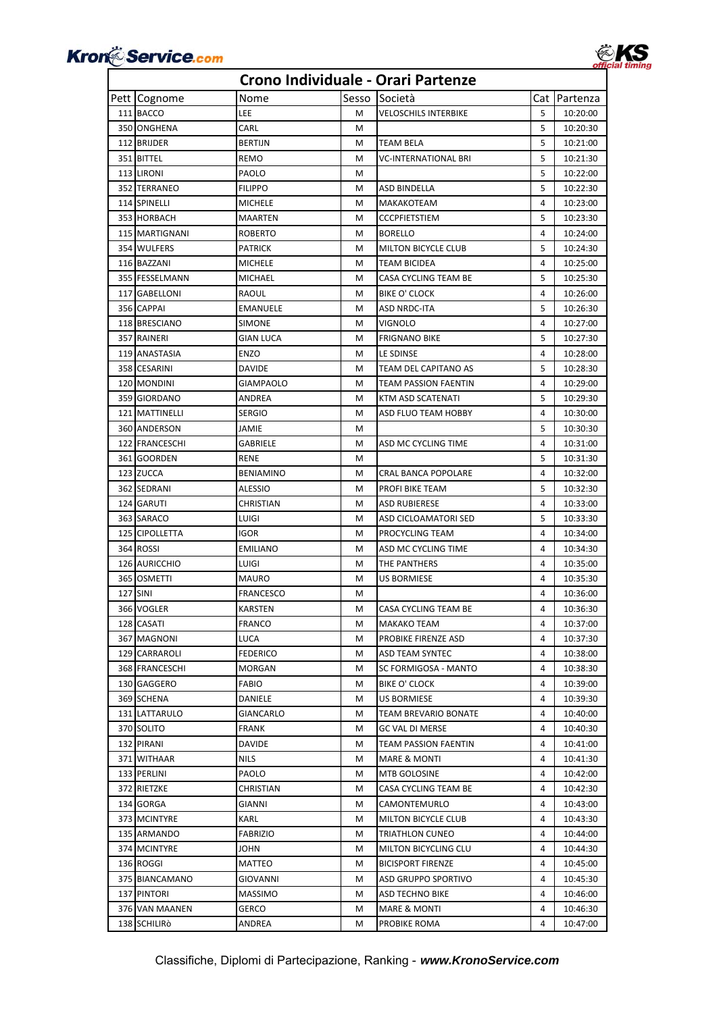

**EKS** 

| Pett Cognome   | Nome             | Sesso | Società                    | Cat    | Partenza |
|----------------|------------------|-------|----------------------------|--------|----------|
| 111 BACCO      | LEE              | м     | VELOSCHILS INTERBIKE       | 5      | 10:20:00 |
| 350 ONGHENA    | CARL             | м     |                            | 5      | 10:20:30 |
| 112 BRIJDER    | <b>BERTIJN</b>   | M     | TEAM BELA                  | 5      | 10:21:00 |
| 351 BITTEL     | REMO             | М     | VC-INTERNATIONAL BRI       | 5      | 10:21:30 |
| 113 LIRONI     | PAOLO            | М     |                            | 5      | 10:22:00 |
| 352 TERRANEO   | <b>FILIPPO</b>   | м     | ASD BINDELLA               | 5      | 10:22:30 |
| 114 SPINELLI   | <b>MICHELE</b>   | M     | MAKAKOTEAM                 | 4      | 10:23:00 |
| 353 HORBACH    | <b>MAARTEN</b>   | М     | <b>CCCPFIETSTIEM</b>       | 5      | 10:23:30 |
| 115 MARTIGNANI | <b>ROBERTO</b>   | М     | <b>BORELLO</b>             | 4      | 10:24:00 |
| 354 WULFERS    | <b>PATRICK</b>   | M     | <b>MILTON BICYCLE CLUB</b> | 5      | 10:24:30 |
| 116 BAZZANI    | <b>MICHELE</b>   | M     | TEAM BICIDEA               | 4      | 10:25:00 |
| 355 FESSELMANN | MICHAEL          | M     | CASA CYCLING TEAM BE       | 5      | 10:25:30 |
| 117 GABELLONI  | RAOUL            | M     | <b>BIKE O' CLOCK</b>       | 4      | 10:26:00 |
| 356 CAPPAI     | <b>EMANUELE</b>  | М     | ASD NRDC-ITA               | 5      | 10:26:30 |
| 118 BRESCIANO  | <b>SIMONE</b>    | м     | VIGNOLO                    | 4      | 10:27:00 |
| 357 RAINERI    | <b>GIAN LUCA</b> | М     | <b>FRIGNANO BIKE</b>       | 5      | 10:27:30 |
| 119 ANASTASIA  | <b>ENZO</b>      | M     | LE SDINSE                  | 4      | 10:28:00 |
| 358 CESARINI   | DAVIDE           | M     | TEAM DEL CAPITANO AS       | 5      | 10:28:30 |
| 120 MONDINI    | <b>GIAMPAOLO</b> | M     | TEAM PASSION FAENTIN       | 4      | 10:29:00 |
| 359 GIORDANO   | ANDREA           | M     | KTM ASD SCATENATI          | 5      | 10:29:30 |
| 121 MATTINELLI | <b>SERGIO</b>    | М     | ASD FLUO TEAM HOBBY        | 4      | 10:30:00 |
| 360 ANDERSON   | JAMIE            | М     |                            | 5      | 10:30:30 |
| 122 FRANCESCHI |                  |       |                            | 4      |          |
|                | GABRIELE         | М     | ASD MC CYCLING TIME        |        | 10:31:00 |
| 361 GOORDEN    | RENE             | M     |                            | 5<br>4 | 10:31:30 |
| 123 ZUCCA      | <b>BENIAMINO</b> | M     | CRAL BANCA POPOLARE        | 5      | 10:32:00 |
| 362 SEDRANI    | ALESSIO          | M     | PROFI BIKE TEAM            |        | 10:32:30 |
| 124 GARUTI     | CHRISTIAN        | М     | ASD RUBIERESE              | 4      | 10:33:00 |
| 363 SARACO     | LUIGI            | M     | ASD CICLOAMATORI SED       | 5      | 10:33:30 |
| 125 CIPOLLETTA | igor             | М     | PROCYCLING TEAM            | 4      | 10:34:00 |
| 364 ROSSI      | <b>EMILIANO</b>  | М     | ASD MC CYCLING TIME        | 4      | 10:34:30 |
| 126 AURICCHIO  | LUIGI            | М     | THE PANTHERS               | 4      | 10:35:00 |
| 365 OSMETTI    | <b>MAURO</b>     | M     | US BORMIESE                | 4      | 10:35:30 |
| 127 SINI       | <b>FRANCESCO</b> | М     |                            | 4      | 10:36:00 |
| 366 VOGLER     | <b>KARSTEN</b>   | М     | CASA CYCLING TEAM BE       | 4      | 10:36:30 |
| 128 CASATI     | <b>FRANCO</b>    | М     | MAKAKO TEAM                | 4      | 10:37:00 |
| 367 MAGNONI    | LUCA             | м     | PROBIKE FIRENZE ASD        | 4      | 10:37:30 |
| 129 CARRAROLI  | FEDERICO         | м     | ASD TEAM SYNTEC            | 4      | 10:38:00 |
| 368 FRANCESCHI | MORGAN           | М     | SC FORMIGOSA - MANTO       | 4      | 10:38:30 |
| 130 GAGGERO    | FABIO            | M     | BIKE O' CLOCK              | 4      | 10:39:00 |
| 369 SCHENA     | DANIELE          | м     | US BORMIESE                | 4      | 10:39:30 |
| 131 LATTARULO  | GIANCARLO        | М     | TEAM BREVARIO BONATE       | 4      | 10:40:00 |
| 370 SOLITO     | FRANK            | м     | GC VAL DI MERSE            | 4      | 10:40:30 |
| 132 PIRANI     | DAVIDE           | м     | TEAM PASSION FAENTIN       | 4      | 10:41:00 |
| 371 WITHAAR    | NILS             | м     | <b>MARE &amp; MONTI</b>    | 4      | 10:41:30 |
| 133 PERLINI    | PAOLO            | М     | MTB GOLOSINE               | 4      | 10:42:00 |
| 372 RIETZKE    | CHRISTIAN        | М     | CASA CYCLING TEAM BE       | 4      | 10:42:30 |
| 134 GORGA      | GIANNI           | М     | CAMONTEMURLO               | 4      | 10:43:00 |
| 373 MCINTYRE   | KARL             | м     | MILTON BICYCLE CLUB        | 4      | 10:43:30 |
| 135 ARMANDO    | FABRIZIO         | м     | TRIATHLON CUNEO            | 4      | 10:44:00 |
| 374 MCINTYRE   | JOHN             | м     | MILTON BICYCLING CLU       | 4      | 10:44:30 |
| 136 ROGGI      | MATTEO           | м     | <b>BICISPORT FIRENZE</b>   | 4      | 10:45:00 |
| 375 BIANCAMANO | GIOVANNI         | М     | ASD GRUPPO SPORTIVO        | 4      | 10:45:30 |
| 137 PINTORI    | MASSIMO          | М     | ASD TECHNO BIKE            | 4      | 10:46:00 |
| 376 VAN MAANEN | GERCO            | M     | MARE & MONTI               | 4      | 10:46:30 |
| 138 SCHILIRÒ   | ANDREA           | м     | PROBIKE ROMA               | 4      | 10:47:00 |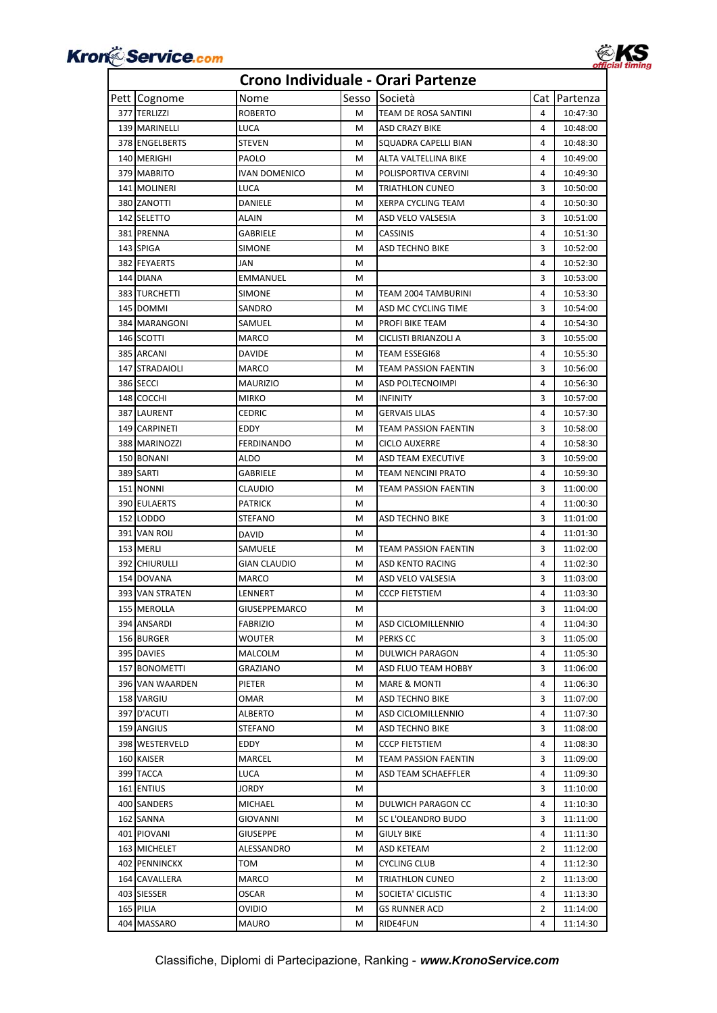



| Pett Cognome    | Nome                 | Sesso | Società                 |   | Cat Partenza |
|-----------------|----------------------|-------|-------------------------|---|--------------|
| 377 TERLIZZI    | <b>ROBERTO</b>       | м     | TEAM DE ROSA SANTINI    | 4 | 10:47:30     |
| 139 MARINELLI   | LUCA                 | м     | ASD CRAZY BIKE          | 4 | 10:48:00     |
| 378 ENGELBERTS  | <b>STEVEN</b>        | м     | SQUADRA CAPELLI BIAN    | 4 | 10:48:30     |
| 140 MERIGHI     | PAOLO                | м     | ALTA VALTELLINA BIKE    | 4 | 10:49:00     |
| 379 MABRITO     | <b>IVAN DOMENICO</b> | М     | POLISPORTIVA CERVINI    | 4 | 10:49:30     |
| 141 MOLINERI    | LUCA                 | м     | TRIATHLON CUNEO         | 3 | 10:50:00     |
| 380 ZANOTTI     | DANIELE              | м     | XERPA CYCLING TEAM      | 4 | 10:50:30     |
| 142 SELETTO     | <b>ALAIN</b>         | М     | ASD VELO VALSESIA       | 3 | 10:51:00     |
| 381 PRENNA      | GABRIELE             | М     | <b>CASSINIS</b>         | 4 | 10:51:30     |
| 143 SPIGA       | SIMONE               | М     | ASD TECHNO BIKE         | 3 | 10:52:00     |
| 382 FEYAERTS    | JAN                  | М     |                         | 4 | 10:52:30     |
| 144 DIANA       | EMMANUEL             | М     |                         | 3 | 10:53:00     |
| 383 TURCHETTI   | SIMONE               | M     | TEAM 2004 TAMBURINI     | 4 | 10:53:30     |
| 145 DOMMI       | SANDRO               | м     | ASD MC CYCLING TIME     | 3 | 10:54:00     |
| 384 MARANGONI   | SAMUEL               | M     | PROFI BIKE TEAM         | 4 | 10:54:30     |
| 146 SCOTTI      | MARCO                | М     | CICLISTI BRIANZOLI A    | 3 | 10:55:00     |
| 385 ARCANI      | DAVIDE               | М     | TEAM ESSEGI68           | 4 | 10:55:30     |
| 147 STRADAIOLI  | <b>MARCO</b>         | М     | TEAM PASSION FAENTIN    | 3 | 10:56:00     |
| 386 SECCI       | MAURIZIO             | м     | ASD POLTECNOIMPI        | 4 | 10:56:30     |
| 148 COCCHI      | <b>MIRKO</b>         | М     | <b>INFINITY</b>         | 3 | 10:57:00     |
| 387 LAURENT     | CEDRIC               | М     | <b>GERVAIS LILAS</b>    | 4 | 10:57:30     |
| 149 CARPINETI   | EDDY                 | М     | TEAM PASSION FAENTIN    | 3 | 10:58:00     |
| 388 MARINOZZI   | FERDINANDO           | М     | CICLO AUXERRE           | 4 | 10:58:30     |
| 150 BONANI      | ALDO                 | М     | ASD TEAM EXECUTIVE      | 3 | 10:59:00     |
| 389 SARTI       | GABRIELE             | м     | TEAM NENCINI PRATO      | 4 | 10:59:30     |
| 151 NONNI       | CLAUDIO              | м     | TEAM PASSION FAENTIN    | 3 | 11:00:00     |
| 390 EULAERTS    | <b>PATRICK</b>       | М     |                         | 4 | 11:00:30     |
| 152 LODDO       | STEFANO              | м     | ASD TECHNO BIKE         | 3 | 11:01:00     |
| 391 VAN ROIJ    | DAVID                | м     |                         | 4 | 11:01:30     |
| 153 MERLI       | SAMUELE              | М     | TEAM PASSION FAENTIN    | 3 | 11:02:00     |
| 392 CHIURULLI   | GIAN CLAUDIO         | м     | ASD KENTO RACING        | 4 | 11:02:30     |
| 154 DOVANA      | MARCO                | м     | ASD VELO VALSESIA       | 3 | 11:03:00     |
| 393 VAN STRATEN | LENNERT              | М     | <b>CCCP FIETSTIEM</b>   | 4 | 11:03:30     |
| 155 MEROLLA     | GIUSEPPEMARCO        | M     |                         | 3 | 11:04:00     |
| 394 ANSARDI     | <b>FABRIZIO</b>      | М     | ASD CICLOMILLENNIO      | 4 | 11:04:30     |
| 156 BURGER      | WOUTER               | М     | PERKS CC                | 3 | 11:05:00     |
| 395 DAVIES      | MALCOLM              | м     | <b>DULWICH PARAGON</b>  | 4 | 11:05:30     |
| 157 BONOMETTI   | GRAZIANO             | м     | ASD FLUO TEAM HOBBY     | 3 | 11:06:00     |
| 396 VAN WAARDEN | PIETER               | м     | <b>MARE &amp; MONTI</b> | 4 | 11:06:30     |
| 158 VARGIU      | OMAR                 | М     | ASD TECHNO BIKE         | 3 | 11:07:00     |
| 397 D'ACUTI     | ALBERTO              | М     | ASD CICLOMILLENNIO      | 4 | 11:07:30     |
| 159 ANGIUS      | STEFANO              | М     | ASD TECHNO BIKE         | 3 | 11:08:00     |
| 398 WESTERVELD  | EDDY                 | M     | CCCP FIETSTIEM          | 4 | 11:08:30     |
| 160 KAISER      | MARCEL               | М     | TEAM PASSION FAENTIN    | 3 | 11:09:00     |
| 399 TACCA       | LUCA                 | М     | ASD TEAM SCHAEFFLER     | 4 | 11:09:30     |
| 161 ENTIUS      | JORDY                | M     |                         | 3 | 11:10:00     |
| 400 SANDERS     | MICHAEL              | М     | DULWICH PARAGON CC      | 4 | 11:10:30     |
| 162 SANNA       | GIOVANNI             | М     | SC L'OLEANDRO BUDO      | 3 | 11:11:00     |
| 401 PIOVANI     | GIUSEPPE             | М     | GIULY BIKE              | 4 | 11:11:30     |
| 163 MICHELET    | ALESSANDRO           | м     | ASD KETEAM              | 2 | 11:12:00     |
| 402 PENNINCKX   | том                  | м     | CYCLING CLUB            | 4 | 11:12:30     |
| 164 CAVALLERA   | MARCO                | М     | TRIATHLON CUNEO         | 2 | 11:13:00     |
| 403 SIESSER     | OSCAR                | M     | SOCIETA' CICLISTIC      | 4 | 11:13:30     |
| 165 PILIA       | ovidio               | М     | GS RUNNER ACD           | 2 | 11:14:00     |
| 404 MASSARO     | MAURO                | м     | RIDE4FUN                | 4 | 11:14:30     |
|                 |                      |       |                         |   |              |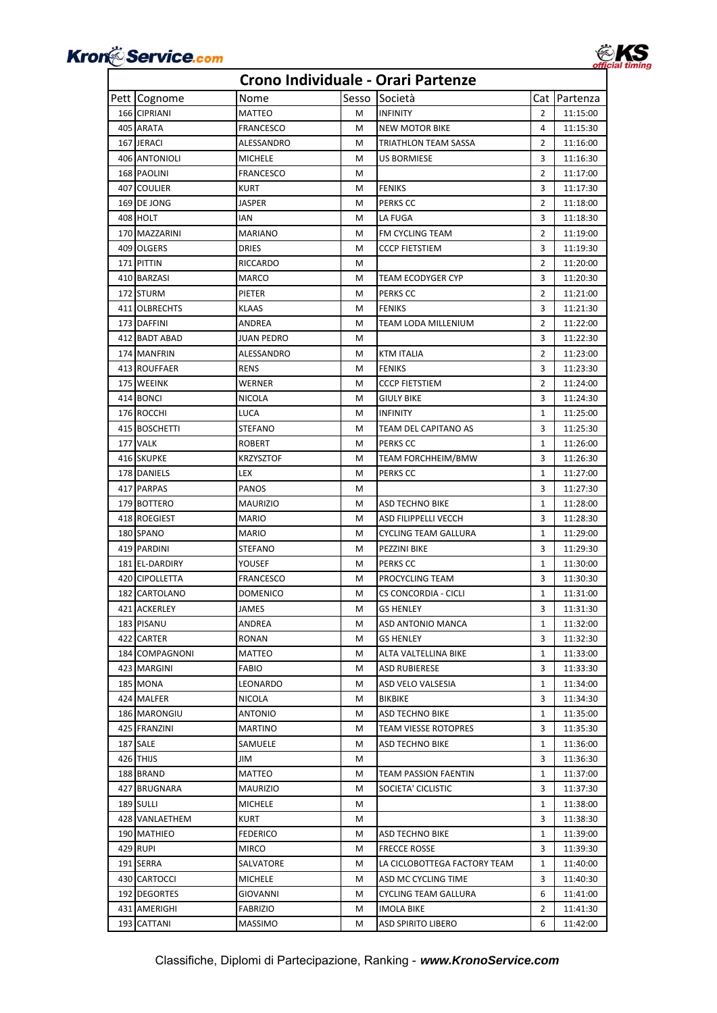



| Pett Cognome<br>166 CIPRIANI<br>$\overline{2}$<br>MATTEO<br>м<br><b>INFINITY</b><br>11:15:00<br>405 ARATA<br>4<br>FRANCESCO<br>м<br>NEW MOTOR BIKE<br>11:15:30<br>$\overline{2}$<br>167 JERACI<br>ALESSANDRO<br>TRIATHLON TEAM SASSA<br>11:16:00<br>м<br>3<br>406 ANTONIOLI<br>MICHELE<br>м<br>US BORMIESE<br>11:16:30<br>$\overline{2}$<br>168 PAOLINI<br><b>FRANCESCO</b><br>м<br>11:17:00<br>407 COULIER<br><b>FENIKS</b><br>3<br>KURT<br>м<br>11:17:30<br>169 DE JONG<br>PERKS CC<br>$\overline{2}$<br>JASPER<br>M<br>11:18:00<br>408 HOLT<br>LA FUGA<br>3<br>IAN<br>м<br>11:18:30<br>$\overline{2}$<br>170 MAZZARINI<br>MARIANO<br>м<br><b>FM CYCLING TEAM</b><br>11:19:00<br>409 OLGERS<br><b>CCCP FIETSTIEM</b><br>3<br>11:19:30<br><b>DRIES</b><br>M<br>171 PITTIN<br>RICCARDO<br>2<br>11:20:00<br>м<br>410 BARZASI<br>MARCO<br>M<br>TEAM ECODYGER CYP<br>3<br>11:20:30<br>172 STURM<br>M<br>PERKS CC<br>2<br>11:21:00<br>PIETER<br>411 OLBRECHTS<br>M<br><b>FENIKS</b><br>3<br>KLAAS<br>11:21:30<br>$\overline{2}$<br>173 DAFFINI<br>м<br>TEAM LODA MILLENIUM<br>11:22:00<br>ANDREA<br>412 BADT ABAD<br>JUAN PEDRO<br>3<br>11:22:30<br>м<br>$\overline{2}$<br>174 MANFRIN<br>ALESSANDRO<br>м<br>KTM ITALIA<br>11:23:00<br>413 ROUFFAER<br><b>FENIKS</b><br>3<br>RENS<br>м<br>11:23:30<br>175 WEEINK<br>WERNER<br><b>CCCP FIETSTIEM</b><br>2<br>м<br>11:24:00<br>414 BONCI<br>3<br><b>NICOLA</b><br><b>GIULY BIKE</b><br>11:24:30<br>м<br>176 ROCCHI<br>LUCA<br>м<br><b>INFINITY</b><br>$\mathbf{1}$<br>11:25:00<br>415 BOSCHETTI<br>STEFANO<br>м<br>TEAM DEL CAPITANO AS<br>3<br>11:25:30<br>177 VALK<br>ROBERT<br>PERKS CC<br>$\mathbf{1}$<br>м<br>11:26:00<br>416 SKUPKE<br>KRZYSZTOF<br>TEAM FORCHHEIM/BMW<br>3<br>11:26:30<br>м<br>178 DANIELS<br>PERKS CC<br>LEX<br>м<br>1<br>11:27:00<br>417 PARPAS<br>3<br>PANOS<br>м<br>11:27:30<br>179 BOTTERO<br>м<br>ASD TECHNO BIKE<br>$\mathbf{1}$<br>MAURIZIO<br>11:28:00<br>418 ROEGIEST<br>M<br>ASD FILIPPELLI VECCH<br>3<br>11:28:30<br>MARIO<br>180 SPANO<br>$\mathbf{1}$<br>MARIO<br>м<br>CYCLING TEAM GALLURA<br>11:29:00<br>419 PARDINI<br>PEZZINI BIKE<br>3<br>STEFANO<br>м<br>11:29:30<br>181 EL-DARDIRY<br>YOUSEF<br>PERKS CC<br>11:30:00<br>м<br>1<br>3<br>420 CIPOLLETTA<br><b>FRANCESCO</b><br>PROCYCLING TEAM<br>11:30:30<br>м<br>182 CARTOLANO<br>11:31:00<br>DOMENICO<br>м<br>CS CONCORDIA - CICLI<br>1<br>421 ACKERLEY<br><b>JAMES</b><br><b>GS HENLEY</b><br>3<br>11:31:30<br>м<br>183 PISANU<br>ASD ANTONIO MANCA<br>$\mathbf{1}$<br>11:32:00<br>ANDREA<br>Μ<br>3<br>422 CARTER<br>RONAN<br>м<br>GS HENLEY<br>11:32:30<br>184 COMPAGNONI<br>MATTEO<br>м<br>ALTA VALTELLINA BIKE<br>1<br>11:33:00<br>423 MARGINI<br>FABIO<br>3<br>м<br><b>ASD RUBIERESE</b><br>11:33:30<br>185 MONA<br>LEONARDO<br>м<br>ASD VELO VALSESIA<br>1<br>11:34:00<br>3<br>424 MALFER<br>NICOLA<br>м<br>BIKBIKE<br>11:34:30<br>186 MARONGIU<br>$\mathbf{1}$<br>ANTONIO<br>м<br>ASD TECHNO BIKE<br>11:35:00<br>425 FRANZINI<br>3<br>MARTINO<br>м<br>TEAM VIESSE ROTOPRES<br>11:35:30<br>187 SALE<br>SAMUELE<br>м<br>ASD TECHNO BIKE<br>1<br>11:36:00<br>426 THIJS<br>3<br>JIM<br>М<br>11:36:30<br>188 BRAND<br>MATTEO<br>м<br>TEAM PASSION FAENTIN<br>1<br>11:37:00<br>427 BRUGNARA<br>MAURIZIO<br>SOCIETA' CICLISTIC<br>3<br>11:37:30<br>м<br>189 SULLI<br>11:38:00<br>MICHELE<br>м<br>1<br>3<br>428 VANLAETHEM<br>KURT<br>м<br>11:38:30<br>190 MATHIEO<br>FEDERICO<br>ASD TECHNO BIKE<br>11:39:00<br>м<br>1<br>429 RUPI<br>3<br>MIRCO<br>м<br><b>FRECCE ROSSE</b><br>11:39:30<br>191 SERRA<br>SALVATORE<br>м<br>LA CICLOBOTTEGA FACTORY TEAM<br>1<br>11:40:00<br>430 CARTOCCI<br>M<br>ASD MC CYCLING TIME<br>3<br>11:40:30<br>MICHELE<br>192 DEGORTES<br>6<br>GIOVANNI<br>м<br>CYCLING TEAM GALLURA<br>11:41:00<br>2<br>431 AMERIGHI<br>FABRIZIO<br>11:41:30<br>м<br>IMOLA BIKE<br>193 CATTANI<br>MASSIMO<br>ASD SPIRITO LIBERO<br>6<br>М<br>11:42:00 |  | Nome | Sesso | Società | Cat Partenza |
|---------------------------------------------------------------------------------------------------------------------------------------------------------------------------------------------------------------------------------------------------------------------------------------------------------------------------------------------------------------------------------------------------------------------------------------------------------------------------------------------------------------------------------------------------------------------------------------------------------------------------------------------------------------------------------------------------------------------------------------------------------------------------------------------------------------------------------------------------------------------------------------------------------------------------------------------------------------------------------------------------------------------------------------------------------------------------------------------------------------------------------------------------------------------------------------------------------------------------------------------------------------------------------------------------------------------------------------------------------------------------------------------------------------------------------------------------------------------------------------------------------------------------------------------------------------------------------------------------------------------------------------------------------------------------------------------------------------------------------------------------------------------------------------------------------------------------------------------------------------------------------------------------------------------------------------------------------------------------------------------------------------------------------------------------------------------------------------------------------------------------------------------------------------------------------------------------------------------------------------------------------------------------------------------------------------------------------------------------------------------------------------------------------------------------------------------------------------------------------------------------------------------------------------------------------------------------------------------------------------------------------------------------------------------------------------------------------------------------------------------------------------------------------------------------------------------------------------------------------------------------------------------------------------------------------------------------------------------------------------------------------------------------------------------------------------------------------------------------------------------------------------------------------------------------------------------------------------------------------------------------------------------------------------------------------------------------------------------------------------------------------------------------------------------------------------------------------------------------------------------------------------------------------------------------------------------------------------------------------------------------------------------------------------------------------------------------------------------------------------------------------------------------------------------------------------------------------------------------------------------------------------------------------|--|------|-------|---------|--------------|
|                                                                                                                                                                                                                                                                                                                                                                                                                                                                                                                                                                                                                                                                                                                                                                                                                                                                                                                                                                                                                                                                                                                                                                                                                                                                                                                                                                                                                                                                                                                                                                                                                                                                                                                                                                                                                                                                                                                                                                                                                                                                                                                                                                                                                                                                                                                                                                                                                                                                                                                                                                                                                                                                                                                                                                                                                                                                                                                                                                                                                                                                                                                                                                                                                                                                                                                                                                                                                                                                                                                                                                                                                                                                                                                                                                                                                                                                                                         |  |      |       |         |              |
|                                                                                                                                                                                                                                                                                                                                                                                                                                                                                                                                                                                                                                                                                                                                                                                                                                                                                                                                                                                                                                                                                                                                                                                                                                                                                                                                                                                                                                                                                                                                                                                                                                                                                                                                                                                                                                                                                                                                                                                                                                                                                                                                                                                                                                                                                                                                                                                                                                                                                                                                                                                                                                                                                                                                                                                                                                                                                                                                                                                                                                                                                                                                                                                                                                                                                                                                                                                                                                                                                                                                                                                                                                                                                                                                                                                                                                                                                                         |  |      |       |         |              |
|                                                                                                                                                                                                                                                                                                                                                                                                                                                                                                                                                                                                                                                                                                                                                                                                                                                                                                                                                                                                                                                                                                                                                                                                                                                                                                                                                                                                                                                                                                                                                                                                                                                                                                                                                                                                                                                                                                                                                                                                                                                                                                                                                                                                                                                                                                                                                                                                                                                                                                                                                                                                                                                                                                                                                                                                                                                                                                                                                                                                                                                                                                                                                                                                                                                                                                                                                                                                                                                                                                                                                                                                                                                                                                                                                                                                                                                                                                         |  |      |       |         |              |
|                                                                                                                                                                                                                                                                                                                                                                                                                                                                                                                                                                                                                                                                                                                                                                                                                                                                                                                                                                                                                                                                                                                                                                                                                                                                                                                                                                                                                                                                                                                                                                                                                                                                                                                                                                                                                                                                                                                                                                                                                                                                                                                                                                                                                                                                                                                                                                                                                                                                                                                                                                                                                                                                                                                                                                                                                                                                                                                                                                                                                                                                                                                                                                                                                                                                                                                                                                                                                                                                                                                                                                                                                                                                                                                                                                                                                                                                                                         |  |      |       |         |              |
|                                                                                                                                                                                                                                                                                                                                                                                                                                                                                                                                                                                                                                                                                                                                                                                                                                                                                                                                                                                                                                                                                                                                                                                                                                                                                                                                                                                                                                                                                                                                                                                                                                                                                                                                                                                                                                                                                                                                                                                                                                                                                                                                                                                                                                                                                                                                                                                                                                                                                                                                                                                                                                                                                                                                                                                                                                                                                                                                                                                                                                                                                                                                                                                                                                                                                                                                                                                                                                                                                                                                                                                                                                                                                                                                                                                                                                                                                                         |  |      |       |         |              |
|                                                                                                                                                                                                                                                                                                                                                                                                                                                                                                                                                                                                                                                                                                                                                                                                                                                                                                                                                                                                                                                                                                                                                                                                                                                                                                                                                                                                                                                                                                                                                                                                                                                                                                                                                                                                                                                                                                                                                                                                                                                                                                                                                                                                                                                                                                                                                                                                                                                                                                                                                                                                                                                                                                                                                                                                                                                                                                                                                                                                                                                                                                                                                                                                                                                                                                                                                                                                                                                                                                                                                                                                                                                                                                                                                                                                                                                                                                         |  |      |       |         |              |
|                                                                                                                                                                                                                                                                                                                                                                                                                                                                                                                                                                                                                                                                                                                                                                                                                                                                                                                                                                                                                                                                                                                                                                                                                                                                                                                                                                                                                                                                                                                                                                                                                                                                                                                                                                                                                                                                                                                                                                                                                                                                                                                                                                                                                                                                                                                                                                                                                                                                                                                                                                                                                                                                                                                                                                                                                                                                                                                                                                                                                                                                                                                                                                                                                                                                                                                                                                                                                                                                                                                                                                                                                                                                                                                                                                                                                                                                                                         |  |      |       |         |              |
|                                                                                                                                                                                                                                                                                                                                                                                                                                                                                                                                                                                                                                                                                                                                                                                                                                                                                                                                                                                                                                                                                                                                                                                                                                                                                                                                                                                                                                                                                                                                                                                                                                                                                                                                                                                                                                                                                                                                                                                                                                                                                                                                                                                                                                                                                                                                                                                                                                                                                                                                                                                                                                                                                                                                                                                                                                                                                                                                                                                                                                                                                                                                                                                                                                                                                                                                                                                                                                                                                                                                                                                                                                                                                                                                                                                                                                                                                                         |  |      |       |         |              |
|                                                                                                                                                                                                                                                                                                                                                                                                                                                                                                                                                                                                                                                                                                                                                                                                                                                                                                                                                                                                                                                                                                                                                                                                                                                                                                                                                                                                                                                                                                                                                                                                                                                                                                                                                                                                                                                                                                                                                                                                                                                                                                                                                                                                                                                                                                                                                                                                                                                                                                                                                                                                                                                                                                                                                                                                                                                                                                                                                                                                                                                                                                                                                                                                                                                                                                                                                                                                                                                                                                                                                                                                                                                                                                                                                                                                                                                                                                         |  |      |       |         |              |
|                                                                                                                                                                                                                                                                                                                                                                                                                                                                                                                                                                                                                                                                                                                                                                                                                                                                                                                                                                                                                                                                                                                                                                                                                                                                                                                                                                                                                                                                                                                                                                                                                                                                                                                                                                                                                                                                                                                                                                                                                                                                                                                                                                                                                                                                                                                                                                                                                                                                                                                                                                                                                                                                                                                                                                                                                                                                                                                                                                                                                                                                                                                                                                                                                                                                                                                                                                                                                                                                                                                                                                                                                                                                                                                                                                                                                                                                                                         |  |      |       |         |              |
|                                                                                                                                                                                                                                                                                                                                                                                                                                                                                                                                                                                                                                                                                                                                                                                                                                                                                                                                                                                                                                                                                                                                                                                                                                                                                                                                                                                                                                                                                                                                                                                                                                                                                                                                                                                                                                                                                                                                                                                                                                                                                                                                                                                                                                                                                                                                                                                                                                                                                                                                                                                                                                                                                                                                                                                                                                                                                                                                                                                                                                                                                                                                                                                                                                                                                                                                                                                                                                                                                                                                                                                                                                                                                                                                                                                                                                                                                                         |  |      |       |         |              |
|                                                                                                                                                                                                                                                                                                                                                                                                                                                                                                                                                                                                                                                                                                                                                                                                                                                                                                                                                                                                                                                                                                                                                                                                                                                                                                                                                                                                                                                                                                                                                                                                                                                                                                                                                                                                                                                                                                                                                                                                                                                                                                                                                                                                                                                                                                                                                                                                                                                                                                                                                                                                                                                                                                                                                                                                                                                                                                                                                                                                                                                                                                                                                                                                                                                                                                                                                                                                                                                                                                                                                                                                                                                                                                                                                                                                                                                                                                         |  |      |       |         |              |
|                                                                                                                                                                                                                                                                                                                                                                                                                                                                                                                                                                                                                                                                                                                                                                                                                                                                                                                                                                                                                                                                                                                                                                                                                                                                                                                                                                                                                                                                                                                                                                                                                                                                                                                                                                                                                                                                                                                                                                                                                                                                                                                                                                                                                                                                                                                                                                                                                                                                                                                                                                                                                                                                                                                                                                                                                                                                                                                                                                                                                                                                                                                                                                                                                                                                                                                                                                                                                                                                                                                                                                                                                                                                                                                                                                                                                                                                                                         |  |      |       |         |              |
|                                                                                                                                                                                                                                                                                                                                                                                                                                                                                                                                                                                                                                                                                                                                                                                                                                                                                                                                                                                                                                                                                                                                                                                                                                                                                                                                                                                                                                                                                                                                                                                                                                                                                                                                                                                                                                                                                                                                                                                                                                                                                                                                                                                                                                                                                                                                                                                                                                                                                                                                                                                                                                                                                                                                                                                                                                                                                                                                                                                                                                                                                                                                                                                                                                                                                                                                                                                                                                                                                                                                                                                                                                                                                                                                                                                                                                                                                                         |  |      |       |         |              |
|                                                                                                                                                                                                                                                                                                                                                                                                                                                                                                                                                                                                                                                                                                                                                                                                                                                                                                                                                                                                                                                                                                                                                                                                                                                                                                                                                                                                                                                                                                                                                                                                                                                                                                                                                                                                                                                                                                                                                                                                                                                                                                                                                                                                                                                                                                                                                                                                                                                                                                                                                                                                                                                                                                                                                                                                                                                                                                                                                                                                                                                                                                                                                                                                                                                                                                                                                                                                                                                                                                                                                                                                                                                                                                                                                                                                                                                                                                         |  |      |       |         |              |
|                                                                                                                                                                                                                                                                                                                                                                                                                                                                                                                                                                                                                                                                                                                                                                                                                                                                                                                                                                                                                                                                                                                                                                                                                                                                                                                                                                                                                                                                                                                                                                                                                                                                                                                                                                                                                                                                                                                                                                                                                                                                                                                                                                                                                                                                                                                                                                                                                                                                                                                                                                                                                                                                                                                                                                                                                                                                                                                                                                                                                                                                                                                                                                                                                                                                                                                                                                                                                                                                                                                                                                                                                                                                                                                                                                                                                                                                                                         |  |      |       |         |              |
|                                                                                                                                                                                                                                                                                                                                                                                                                                                                                                                                                                                                                                                                                                                                                                                                                                                                                                                                                                                                                                                                                                                                                                                                                                                                                                                                                                                                                                                                                                                                                                                                                                                                                                                                                                                                                                                                                                                                                                                                                                                                                                                                                                                                                                                                                                                                                                                                                                                                                                                                                                                                                                                                                                                                                                                                                                                                                                                                                                                                                                                                                                                                                                                                                                                                                                                                                                                                                                                                                                                                                                                                                                                                                                                                                                                                                                                                                                         |  |      |       |         |              |
|                                                                                                                                                                                                                                                                                                                                                                                                                                                                                                                                                                                                                                                                                                                                                                                                                                                                                                                                                                                                                                                                                                                                                                                                                                                                                                                                                                                                                                                                                                                                                                                                                                                                                                                                                                                                                                                                                                                                                                                                                                                                                                                                                                                                                                                                                                                                                                                                                                                                                                                                                                                                                                                                                                                                                                                                                                                                                                                                                                                                                                                                                                                                                                                                                                                                                                                                                                                                                                                                                                                                                                                                                                                                                                                                                                                                                                                                                                         |  |      |       |         |              |
|                                                                                                                                                                                                                                                                                                                                                                                                                                                                                                                                                                                                                                                                                                                                                                                                                                                                                                                                                                                                                                                                                                                                                                                                                                                                                                                                                                                                                                                                                                                                                                                                                                                                                                                                                                                                                                                                                                                                                                                                                                                                                                                                                                                                                                                                                                                                                                                                                                                                                                                                                                                                                                                                                                                                                                                                                                                                                                                                                                                                                                                                                                                                                                                                                                                                                                                                                                                                                                                                                                                                                                                                                                                                                                                                                                                                                                                                                                         |  |      |       |         |              |
|                                                                                                                                                                                                                                                                                                                                                                                                                                                                                                                                                                                                                                                                                                                                                                                                                                                                                                                                                                                                                                                                                                                                                                                                                                                                                                                                                                                                                                                                                                                                                                                                                                                                                                                                                                                                                                                                                                                                                                                                                                                                                                                                                                                                                                                                                                                                                                                                                                                                                                                                                                                                                                                                                                                                                                                                                                                                                                                                                                                                                                                                                                                                                                                                                                                                                                                                                                                                                                                                                                                                                                                                                                                                                                                                                                                                                                                                                                         |  |      |       |         |              |
|                                                                                                                                                                                                                                                                                                                                                                                                                                                                                                                                                                                                                                                                                                                                                                                                                                                                                                                                                                                                                                                                                                                                                                                                                                                                                                                                                                                                                                                                                                                                                                                                                                                                                                                                                                                                                                                                                                                                                                                                                                                                                                                                                                                                                                                                                                                                                                                                                                                                                                                                                                                                                                                                                                                                                                                                                                                                                                                                                                                                                                                                                                                                                                                                                                                                                                                                                                                                                                                                                                                                                                                                                                                                                                                                                                                                                                                                                                         |  |      |       |         |              |
|                                                                                                                                                                                                                                                                                                                                                                                                                                                                                                                                                                                                                                                                                                                                                                                                                                                                                                                                                                                                                                                                                                                                                                                                                                                                                                                                                                                                                                                                                                                                                                                                                                                                                                                                                                                                                                                                                                                                                                                                                                                                                                                                                                                                                                                                                                                                                                                                                                                                                                                                                                                                                                                                                                                                                                                                                                                                                                                                                                                                                                                                                                                                                                                                                                                                                                                                                                                                                                                                                                                                                                                                                                                                                                                                                                                                                                                                                                         |  |      |       |         |              |
|                                                                                                                                                                                                                                                                                                                                                                                                                                                                                                                                                                                                                                                                                                                                                                                                                                                                                                                                                                                                                                                                                                                                                                                                                                                                                                                                                                                                                                                                                                                                                                                                                                                                                                                                                                                                                                                                                                                                                                                                                                                                                                                                                                                                                                                                                                                                                                                                                                                                                                                                                                                                                                                                                                                                                                                                                                                                                                                                                                                                                                                                                                                                                                                                                                                                                                                                                                                                                                                                                                                                                                                                                                                                                                                                                                                                                                                                                                         |  |      |       |         |              |
|                                                                                                                                                                                                                                                                                                                                                                                                                                                                                                                                                                                                                                                                                                                                                                                                                                                                                                                                                                                                                                                                                                                                                                                                                                                                                                                                                                                                                                                                                                                                                                                                                                                                                                                                                                                                                                                                                                                                                                                                                                                                                                                                                                                                                                                                                                                                                                                                                                                                                                                                                                                                                                                                                                                                                                                                                                                                                                                                                                                                                                                                                                                                                                                                                                                                                                                                                                                                                                                                                                                                                                                                                                                                                                                                                                                                                                                                                                         |  |      |       |         |              |
|                                                                                                                                                                                                                                                                                                                                                                                                                                                                                                                                                                                                                                                                                                                                                                                                                                                                                                                                                                                                                                                                                                                                                                                                                                                                                                                                                                                                                                                                                                                                                                                                                                                                                                                                                                                                                                                                                                                                                                                                                                                                                                                                                                                                                                                                                                                                                                                                                                                                                                                                                                                                                                                                                                                                                                                                                                                                                                                                                                                                                                                                                                                                                                                                                                                                                                                                                                                                                                                                                                                                                                                                                                                                                                                                                                                                                                                                                                         |  |      |       |         |              |
|                                                                                                                                                                                                                                                                                                                                                                                                                                                                                                                                                                                                                                                                                                                                                                                                                                                                                                                                                                                                                                                                                                                                                                                                                                                                                                                                                                                                                                                                                                                                                                                                                                                                                                                                                                                                                                                                                                                                                                                                                                                                                                                                                                                                                                                                                                                                                                                                                                                                                                                                                                                                                                                                                                                                                                                                                                                                                                                                                                                                                                                                                                                                                                                                                                                                                                                                                                                                                                                                                                                                                                                                                                                                                                                                                                                                                                                                                                         |  |      |       |         |              |
|                                                                                                                                                                                                                                                                                                                                                                                                                                                                                                                                                                                                                                                                                                                                                                                                                                                                                                                                                                                                                                                                                                                                                                                                                                                                                                                                                                                                                                                                                                                                                                                                                                                                                                                                                                                                                                                                                                                                                                                                                                                                                                                                                                                                                                                                                                                                                                                                                                                                                                                                                                                                                                                                                                                                                                                                                                                                                                                                                                                                                                                                                                                                                                                                                                                                                                                                                                                                                                                                                                                                                                                                                                                                                                                                                                                                                                                                                                         |  |      |       |         |              |
|                                                                                                                                                                                                                                                                                                                                                                                                                                                                                                                                                                                                                                                                                                                                                                                                                                                                                                                                                                                                                                                                                                                                                                                                                                                                                                                                                                                                                                                                                                                                                                                                                                                                                                                                                                                                                                                                                                                                                                                                                                                                                                                                                                                                                                                                                                                                                                                                                                                                                                                                                                                                                                                                                                                                                                                                                                                                                                                                                                                                                                                                                                                                                                                                                                                                                                                                                                                                                                                                                                                                                                                                                                                                                                                                                                                                                                                                                                         |  |      |       |         |              |
|                                                                                                                                                                                                                                                                                                                                                                                                                                                                                                                                                                                                                                                                                                                                                                                                                                                                                                                                                                                                                                                                                                                                                                                                                                                                                                                                                                                                                                                                                                                                                                                                                                                                                                                                                                                                                                                                                                                                                                                                                                                                                                                                                                                                                                                                                                                                                                                                                                                                                                                                                                                                                                                                                                                                                                                                                                                                                                                                                                                                                                                                                                                                                                                                                                                                                                                                                                                                                                                                                                                                                                                                                                                                                                                                                                                                                                                                                                         |  |      |       |         |              |
|                                                                                                                                                                                                                                                                                                                                                                                                                                                                                                                                                                                                                                                                                                                                                                                                                                                                                                                                                                                                                                                                                                                                                                                                                                                                                                                                                                                                                                                                                                                                                                                                                                                                                                                                                                                                                                                                                                                                                                                                                                                                                                                                                                                                                                                                                                                                                                                                                                                                                                                                                                                                                                                                                                                                                                                                                                                                                                                                                                                                                                                                                                                                                                                                                                                                                                                                                                                                                                                                                                                                                                                                                                                                                                                                                                                                                                                                                                         |  |      |       |         |              |
|                                                                                                                                                                                                                                                                                                                                                                                                                                                                                                                                                                                                                                                                                                                                                                                                                                                                                                                                                                                                                                                                                                                                                                                                                                                                                                                                                                                                                                                                                                                                                                                                                                                                                                                                                                                                                                                                                                                                                                                                                                                                                                                                                                                                                                                                                                                                                                                                                                                                                                                                                                                                                                                                                                                                                                                                                                                                                                                                                                                                                                                                                                                                                                                                                                                                                                                                                                                                                                                                                                                                                                                                                                                                                                                                                                                                                                                                                                         |  |      |       |         |              |
|                                                                                                                                                                                                                                                                                                                                                                                                                                                                                                                                                                                                                                                                                                                                                                                                                                                                                                                                                                                                                                                                                                                                                                                                                                                                                                                                                                                                                                                                                                                                                                                                                                                                                                                                                                                                                                                                                                                                                                                                                                                                                                                                                                                                                                                                                                                                                                                                                                                                                                                                                                                                                                                                                                                                                                                                                                                                                                                                                                                                                                                                                                                                                                                                                                                                                                                                                                                                                                                                                                                                                                                                                                                                                                                                                                                                                                                                                                         |  |      |       |         |              |
|                                                                                                                                                                                                                                                                                                                                                                                                                                                                                                                                                                                                                                                                                                                                                                                                                                                                                                                                                                                                                                                                                                                                                                                                                                                                                                                                                                                                                                                                                                                                                                                                                                                                                                                                                                                                                                                                                                                                                                                                                                                                                                                                                                                                                                                                                                                                                                                                                                                                                                                                                                                                                                                                                                                                                                                                                                                                                                                                                                                                                                                                                                                                                                                                                                                                                                                                                                                                                                                                                                                                                                                                                                                                                                                                                                                                                                                                                                         |  |      |       |         |              |
|                                                                                                                                                                                                                                                                                                                                                                                                                                                                                                                                                                                                                                                                                                                                                                                                                                                                                                                                                                                                                                                                                                                                                                                                                                                                                                                                                                                                                                                                                                                                                                                                                                                                                                                                                                                                                                                                                                                                                                                                                                                                                                                                                                                                                                                                                                                                                                                                                                                                                                                                                                                                                                                                                                                                                                                                                                                                                                                                                                                                                                                                                                                                                                                                                                                                                                                                                                                                                                                                                                                                                                                                                                                                                                                                                                                                                                                                                                         |  |      |       |         |              |
|                                                                                                                                                                                                                                                                                                                                                                                                                                                                                                                                                                                                                                                                                                                                                                                                                                                                                                                                                                                                                                                                                                                                                                                                                                                                                                                                                                                                                                                                                                                                                                                                                                                                                                                                                                                                                                                                                                                                                                                                                                                                                                                                                                                                                                                                                                                                                                                                                                                                                                                                                                                                                                                                                                                                                                                                                                                                                                                                                                                                                                                                                                                                                                                                                                                                                                                                                                                                                                                                                                                                                                                                                                                                                                                                                                                                                                                                                                         |  |      |       |         |              |
|                                                                                                                                                                                                                                                                                                                                                                                                                                                                                                                                                                                                                                                                                                                                                                                                                                                                                                                                                                                                                                                                                                                                                                                                                                                                                                                                                                                                                                                                                                                                                                                                                                                                                                                                                                                                                                                                                                                                                                                                                                                                                                                                                                                                                                                                                                                                                                                                                                                                                                                                                                                                                                                                                                                                                                                                                                                                                                                                                                                                                                                                                                                                                                                                                                                                                                                                                                                                                                                                                                                                                                                                                                                                                                                                                                                                                                                                                                         |  |      |       |         |              |
|                                                                                                                                                                                                                                                                                                                                                                                                                                                                                                                                                                                                                                                                                                                                                                                                                                                                                                                                                                                                                                                                                                                                                                                                                                                                                                                                                                                                                                                                                                                                                                                                                                                                                                                                                                                                                                                                                                                                                                                                                                                                                                                                                                                                                                                                                                                                                                                                                                                                                                                                                                                                                                                                                                                                                                                                                                                                                                                                                                                                                                                                                                                                                                                                                                                                                                                                                                                                                                                                                                                                                                                                                                                                                                                                                                                                                                                                                                         |  |      |       |         |              |
|                                                                                                                                                                                                                                                                                                                                                                                                                                                                                                                                                                                                                                                                                                                                                                                                                                                                                                                                                                                                                                                                                                                                                                                                                                                                                                                                                                                                                                                                                                                                                                                                                                                                                                                                                                                                                                                                                                                                                                                                                                                                                                                                                                                                                                                                                                                                                                                                                                                                                                                                                                                                                                                                                                                                                                                                                                                                                                                                                                                                                                                                                                                                                                                                                                                                                                                                                                                                                                                                                                                                                                                                                                                                                                                                                                                                                                                                                                         |  |      |       |         |              |
|                                                                                                                                                                                                                                                                                                                                                                                                                                                                                                                                                                                                                                                                                                                                                                                                                                                                                                                                                                                                                                                                                                                                                                                                                                                                                                                                                                                                                                                                                                                                                                                                                                                                                                                                                                                                                                                                                                                                                                                                                                                                                                                                                                                                                                                                                                                                                                                                                                                                                                                                                                                                                                                                                                                                                                                                                                                                                                                                                                                                                                                                                                                                                                                                                                                                                                                                                                                                                                                                                                                                                                                                                                                                                                                                                                                                                                                                                                         |  |      |       |         |              |
|                                                                                                                                                                                                                                                                                                                                                                                                                                                                                                                                                                                                                                                                                                                                                                                                                                                                                                                                                                                                                                                                                                                                                                                                                                                                                                                                                                                                                                                                                                                                                                                                                                                                                                                                                                                                                                                                                                                                                                                                                                                                                                                                                                                                                                                                                                                                                                                                                                                                                                                                                                                                                                                                                                                                                                                                                                                                                                                                                                                                                                                                                                                                                                                                                                                                                                                                                                                                                                                                                                                                                                                                                                                                                                                                                                                                                                                                                                         |  |      |       |         |              |
|                                                                                                                                                                                                                                                                                                                                                                                                                                                                                                                                                                                                                                                                                                                                                                                                                                                                                                                                                                                                                                                                                                                                                                                                                                                                                                                                                                                                                                                                                                                                                                                                                                                                                                                                                                                                                                                                                                                                                                                                                                                                                                                                                                                                                                                                                                                                                                                                                                                                                                                                                                                                                                                                                                                                                                                                                                                                                                                                                                                                                                                                                                                                                                                                                                                                                                                                                                                                                                                                                                                                                                                                                                                                                                                                                                                                                                                                                                         |  |      |       |         |              |
|                                                                                                                                                                                                                                                                                                                                                                                                                                                                                                                                                                                                                                                                                                                                                                                                                                                                                                                                                                                                                                                                                                                                                                                                                                                                                                                                                                                                                                                                                                                                                                                                                                                                                                                                                                                                                                                                                                                                                                                                                                                                                                                                                                                                                                                                                                                                                                                                                                                                                                                                                                                                                                                                                                                                                                                                                                                                                                                                                                                                                                                                                                                                                                                                                                                                                                                                                                                                                                                                                                                                                                                                                                                                                                                                                                                                                                                                                                         |  |      |       |         |              |
|                                                                                                                                                                                                                                                                                                                                                                                                                                                                                                                                                                                                                                                                                                                                                                                                                                                                                                                                                                                                                                                                                                                                                                                                                                                                                                                                                                                                                                                                                                                                                                                                                                                                                                                                                                                                                                                                                                                                                                                                                                                                                                                                                                                                                                                                                                                                                                                                                                                                                                                                                                                                                                                                                                                                                                                                                                                                                                                                                                                                                                                                                                                                                                                                                                                                                                                                                                                                                                                                                                                                                                                                                                                                                                                                                                                                                                                                                                         |  |      |       |         |              |
|                                                                                                                                                                                                                                                                                                                                                                                                                                                                                                                                                                                                                                                                                                                                                                                                                                                                                                                                                                                                                                                                                                                                                                                                                                                                                                                                                                                                                                                                                                                                                                                                                                                                                                                                                                                                                                                                                                                                                                                                                                                                                                                                                                                                                                                                                                                                                                                                                                                                                                                                                                                                                                                                                                                                                                                                                                                                                                                                                                                                                                                                                                                                                                                                                                                                                                                                                                                                                                                                                                                                                                                                                                                                                                                                                                                                                                                                                                         |  |      |       |         |              |
|                                                                                                                                                                                                                                                                                                                                                                                                                                                                                                                                                                                                                                                                                                                                                                                                                                                                                                                                                                                                                                                                                                                                                                                                                                                                                                                                                                                                                                                                                                                                                                                                                                                                                                                                                                                                                                                                                                                                                                                                                                                                                                                                                                                                                                                                                                                                                                                                                                                                                                                                                                                                                                                                                                                                                                                                                                                                                                                                                                                                                                                                                                                                                                                                                                                                                                                                                                                                                                                                                                                                                                                                                                                                                                                                                                                                                                                                                                         |  |      |       |         |              |
|                                                                                                                                                                                                                                                                                                                                                                                                                                                                                                                                                                                                                                                                                                                                                                                                                                                                                                                                                                                                                                                                                                                                                                                                                                                                                                                                                                                                                                                                                                                                                                                                                                                                                                                                                                                                                                                                                                                                                                                                                                                                                                                                                                                                                                                                                                                                                                                                                                                                                                                                                                                                                                                                                                                                                                                                                                                                                                                                                                                                                                                                                                                                                                                                                                                                                                                                                                                                                                                                                                                                                                                                                                                                                                                                                                                                                                                                                                         |  |      |       |         |              |
|                                                                                                                                                                                                                                                                                                                                                                                                                                                                                                                                                                                                                                                                                                                                                                                                                                                                                                                                                                                                                                                                                                                                                                                                                                                                                                                                                                                                                                                                                                                                                                                                                                                                                                                                                                                                                                                                                                                                                                                                                                                                                                                                                                                                                                                                                                                                                                                                                                                                                                                                                                                                                                                                                                                                                                                                                                                                                                                                                                                                                                                                                                                                                                                                                                                                                                                                                                                                                                                                                                                                                                                                                                                                                                                                                                                                                                                                                                         |  |      |       |         |              |
|                                                                                                                                                                                                                                                                                                                                                                                                                                                                                                                                                                                                                                                                                                                                                                                                                                                                                                                                                                                                                                                                                                                                                                                                                                                                                                                                                                                                                                                                                                                                                                                                                                                                                                                                                                                                                                                                                                                                                                                                                                                                                                                                                                                                                                                                                                                                                                                                                                                                                                                                                                                                                                                                                                                                                                                                                                                                                                                                                                                                                                                                                                                                                                                                                                                                                                                                                                                                                                                                                                                                                                                                                                                                                                                                                                                                                                                                                                         |  |      |       |         |              |
|                                                                                                                                                                                                                                                                                                                                                                                                                                                                                                                                                                                                                                                                                                                                                                                                                                                                                                                                                                                                                                                                                                                                                                                                                                                                                                                                                                                                                                                                                                                                                                                                                                                                                                                                                                                                                                                                                                                                                                                                                                                                                                                                                                                                                                                                                                                                                                                                                                                                                                                                                                                                                                                                                                                                                                                                                                                                                                                                                                                                                                                                                                                                                                                                                                                                                                                                                                                                                                                                                                                                                                                                                                                                                                                                                                                                                                                                                                         |  |      |       |         |              |
|                                                                                                                                                                                                                                                                                                                                                                                                                                                                                                                                                                                                                                                                                                                                                                                                                                                                                                                                                                                                                                                                                                                                                                                                                                                                                                                                                                                                                                                                                                                                                                                                                                                                                                                                                                                                                                                                                                                                                                                                                                                                                                                                                                                                                                                                                                                                                                                                                                                                                                                                                                                                                                                                                                                                                                                                                                                                                                                                                                                                                                                                                                                                                                                                                                                                                                                                                                                                                                                                                                                                                                                                                                                                                                                                                                                                                                                                                                         |  |      |       |         |              |
|                                                                                                                                                                                                                                                                                                                                                                                                                                                                                                                                                                                                                                                                                                                                                                                                                                                                                                                                                                                                                                                                                                                                                                                                                                                                                                                                                                                                                                                                                                                                                                                                                                                                                                                                                                                                                                                                                                                                                                                                                                                                                                                                                                                                                                                                                                                                                                                                                                                                                                                                                                                                                                                                                                                                                                                                                                                                                                                                                                                                                                                                                                                                                                                                                                                                                                                                                                                                                                                                                                                                                                                                                                                                                                                                                                                                                                                                                                         |  |      |       |         |              |
|                                                                                                                                                                                                                                                                                                                                                                                                                                                                                                                                                                                                                                                                                                                                                                                                                                                                                                                                                                                                                                                                                                                                                                                                                                                                                                                                                                                                                                                                                                                                                                                                                                                                                                                                                                                                                                                                                                                                                                                                                                                                                                                                                                                                                                                                                                                                                                                                                                                                                                                                                                                                                                                                                                                                                                                                                                                                                                                                                                                                                                                                                                                                                                                                                                                                                                                                                                                                                                                                                                                                                                                                                                                                                                                                                                                                                                                                                                         |  |      |       |         |              |
|                                                                                                                                                                                                                                                                                                                                                                                                                                                                                                                                                                                                                                                                                                                                                                                                                                                                                                                                                                                                                                                                                                                                                                                                                                                                                                                                                                                                                                                                                                                                                                                                                                                                                                                                                                                                                                                                                                                                                                                                                                                                                                                                                                                                                                                                                                                                                                                                                                                                                                                                                                                                                                                                                                                                                                                                                                                                                                                                                                                                                                                                                                                                                                                                                                                                                                                                                                                                                                                                                                                                                                                                                                                                                                                                                                                                                                                                                                         |  |      |       |         |              |
|                                                                                                                                                                                                                                                                                                                                                                                                                                                                                                                                                                                                                                                                                                                                                                                                                                                                                                                                                                                                                                                                                                                                                                                                                                                                                                                                                                                                                                                                                                                                                                                                                                                                                                                                                                                                                                                                                                                                                                                                                                                                                                                                                                                                                                                                                                                                                                                                                                                                                                                                                                                                                                                                                                                                                                                                                                                                                                                                                                                                                                                                                                                                                                                                                                                                                                                                                                                                                                                                                                                                                                                                                                                                                                                                                                                                                                                                                                         |  |      |       |         |              |
|                                                                                                                                                                                                                                                                                                                                                                                                                                                                                                                                                                                                                                                                                                                                                                                                                                                                                                                                                                                                                                                                                                                                                                                                                                                                                                                                                                                                                                                                                                                                                                                                                                                                                                                                                                                                                                                                                                                                                                                                                                                                                                                                                                                                                                                                                                                                                                                                                                                                                                                                                                                                                                                                                                                                                                                                                                                                                                                                                                                                                                                                                                                                                                                                                                                                                                                                                                                                                                                                                                                                                                                                                                                                                                                                                                                                                                                                                                         |  |      |       |         |              |
|                                                                                                                                                                                                                                                                                                                                                                                                                                                                                                                                                                                                                                                                                                                                                                                                                                                                                                                                                                                                                                                                                                                                                                                                                                                                                                                                                                                                                                                                                                                                                                                                                                                                                                                                                                                                                                                                                                                                                                                                                                                                                                                                                                                                                                                                                                                                                                                                                                                                                                                                                                                                                                                                                                                                                                                                                                                                                                                                                                                                                                                                                                                                                                                                                                                                                                                                                                                                                                                                                                                                                                                                                                                                                                                                                                                                                                                                                                         |  |      |       |         |              |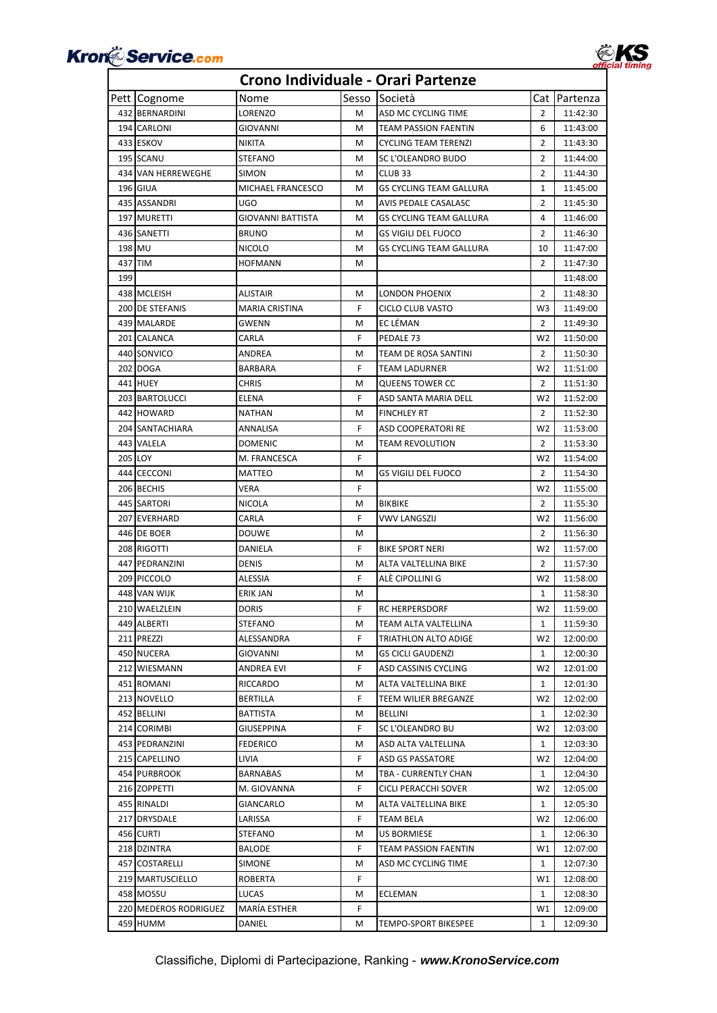



|        | Pett Cognome          | Nome                  | Sesso | <b>Società</b>                 |                | Cat Partenza |
|--------|-----------------------|-----------------------|-------|--------------------------------|----------------|--------------|
|        | 432 BERNARDINI        | LORENZO               | м     | ASD MC CYCLING TIME            | $\overline{2}$ | 11:42:30     |
|        | 194 CARLONI           | GIOVANNI              | м     | TEAM PASSION FAENTIN           | 6              | 11:43:00     |
|        | 433 ESKOV             | <b>NIKITA</b>         | M     | <b>CYCLING TEAM TERENZI</b>    | 2              | 11:43:30     |
|        | 195 SCANU             | STEFANO               | M     | SC L'OLEANDRO BUDO             | 2              | 11:44:00     |
|        | 434 VAN HERREWEGHE    | <b>SIMON</b>          | M     | CLUB <sub>33</sub>             | $\overline{2}$ | 11:44:30     |
|        | 196 GIUA              | MICHAEL FRANCESCO     | м     | GS CYCLING TEAM GALLURA        | $\mathbf{1}$   | 11:45:00     |
|        | 435 ASSANDRI          | UGO                   | M     | AVIS PEDALE CASALASC           | 2              | 11:45:30     |
|        | 197 MURETTI           | GIOVANNI BATTISTA     | M     | <b>GS CYCLING TEAM GALLURA</b> | 4              | 11:46:00     |
|        | 436 SANETTI           | <b>BRUNO</b>          | м     | <b>GS VIGILI DEL FUOCO</b>     | 2              | 11:46:30     |
| 198 MU |                       | <b>NICOLO</b>         | M     | GS CYCLING TEAM GALLURA        | 10             | 11:47:00     |
|        | 437 TIM               | <b>HOFMANN</b>        | м     |                                | $\overline{2}$ | 11:47:30     |
| 199    |                       |                       |       |                                |                | 11:48:00     |
|        | 438 MCLEISH           | <b>ALISTAIR</b>       | м     | LONDON PHOENIX                 | $\overline{2}$ | 11:48:30     |
|        | 200 DE STEFANIS       | <b>MARIA CRISTINA</b> | F     | CICLO CLUB VASTO               | W <sub>3</sub> | 11:49:00     |
|        | 439 MALARDE           | GWENN                 | м     | EC LÉMAN                       | $\overline{2}$ | 11:49:30     |
|        | 201 CALANCA           | CARLA                 | F     | PEDALE 73                      | W <sub>2</sub> | 11:50:00     |
|        | 440 SONVICO           | ANDREA                | M     | TEAM DE ROSA SANTINI           | 2              | 11:50:30     |
|        | 202 DOGA              | BARBARA               | F     | TEAM LADURNER                  | W <sub>2</sub> | 11:51:00     |
|        | 441 HUEY              | <b>CHRIS</b>          | M     | <b>QUEENS TOWER CC</b>         | $\overline{2}$ | 11:51:30     |
|        | 203 BARTOLUCCI        | <b>ELENA</b>          | F     | ASD SANTA MARIA DELL           | W <sub>2</sub> | 11:52:00     |
|        | 442 HOWARD            | <b>NATHAN</b>         | м     | <b>FINCHLEY RT</b>             | $\overline{2}$ | 11:52:30     |
|        | 204 SANTACHIARA       | ANNALISA              | F     | <b>ASD COOPERATORI RE</b>      | W <sub>2</sub> | 11:53:00     |
|        | 443 VALELA            | <b>DOMENIC</b>        | M     | <b>TEAM REVOLUTION</b>         | $\overline{2}$ | 11:53:30     |
|        | 205 LOY               | M. FRANCESCA          | F     |                                | W <sub>2</sub> | 11:54:00     |
|        | 444 CECCONI           | MATTEO                | м     | GS VIGILI DEL FUOCO            | $\overline{2}$ | 11:54:30     |
|        | 206 BECHIS            | VERA                  | F     |                                | W <sub>2</sub> | 11:55:00     |
|        | 445 SARTORI           | NICOLA                | м     | <b>BIKBIKE</b>                 | $\overline{2}$ | 11:55:30     |
|        | 207 EVERHARD          | CARLA                 | F     | VWV LANGSZIJ                   | W <sub>2</sub> | 11:56:00     |
|        | 446 DE BOER           | <b>DOUWE</b>          | м     |                                | $\overline{2}$ | 11:56:30     |
|        | 208 RIGOTTI           | DANIELA               | F     | <b>BIKE SPORT NERI</b>         | W <sub>2</sub> | 11:57:00     |
|        | 447 PEDRANZINI        | DENIS                 | M     | ALTA VALTELLINA BIKE           | $\overline{2}$ | 11:57:30     |
|        | 209 PICCOLO           | ALESSIA               | F     | ALÈ CIPOLLINI G                | W <sub>2</sub> | 11:58:00     |
|        | 448 VAN WIJK          | <b>ERIK JAN</b>       | M     |                                | $\mathbf{1}$   | 11:58:30     |
|        | 210 WAELZLEIN         | <b>DORIS</b>          | F     | <b>RC HERPERSDORF</b>          | W <sub>2</sub> | 11:59:00     |
|        | 449 ALBERTI           | STEFANO               | M     | TEAM ALTA VALTELLINA           | $\mathbf{1}$   | 11:59:30     |
|        | 211 PREZZI            | ALESSANDRA            | F.    | TRIATHLON ALTO ADIGE           | W <sub>2</sub> | 12:00:00     |
|        | 450 NUCERA            | GIOVANNI              | м     | GS CICLI GAUDENZI              | 1              | 12:00:30     |
|        | 212 WIESMANN          | ANDREA EVI            | F     | ASD CASSINIS CYCLING           | W <sub>2</sub> | 12:01:00     |
|        | 451 ROMANI            | RICCARDO              | M     | ALTA VALTELLINA BIKE           | $\mathbf{1}$   | 12:01:30     |
|        | 213 NOVELLO           | BERTILLA              | F     | TEEM WILIER BREGANZE           | W <sub>2</sub> | 12:02:00     |
|        | 452 BELLINI           | BATTISTA              | м     | BELLINI                        | 1              | 12:02:30     |
|        | 214 CORIMBI           | GIUSEPPINA            | F.    | SC L'OLEANDRO BU               | W <sub>2</sub> | 12:03:00     |
|        | 453 PEDRANZINI        | FEDERICO              | м     | ASD ALTA VALTELLINA            | 1              | 12:03:30     |
|        | 215 CAPELLINO         | LIVIA                 | F.    | <b>ASD GS PASSATORE</b>        | W <sub>2</sub> | 12:04:00     |
|        | 454 PURBROOK          | <b>BARNABAS</b>       | M     | TBA - CURRENTLY CHAN           | 1              | 12:04:30     |
|        | 216 ZOPPETTI          | M. GIOVANNA           | F.    | CICLI PERACCHI SOVER           | W <sub>2</sub> | 12:05:00     |
|        | 455 RINALDI           | GIANCARLO             | М     | ALTA VALTELLINA BIKE           | 1              | 12:05:30     |
|        | 217 DRYSDALE          | LARISSA               | F.    | <b>TEAM BELA</b>               | W <sub>2</sub> | 12:06:00     |
|        | 456 CURTI             | STEFANO               | м     | <b>US BORMIESE</b>             | 1              | 12:06:30     |
|        | 218 DZINTRA           | <b>BALODE</b>         | F.    | TEAM PASSION FAENTIN           | W1             | 12:07:00     |
|        | 457 COSTARELLI        | <b>SIMONE</b>         | м     | ASD MC CYCLING TIME            | $\mathbf{1}$   | 12:07:30     |
|        | 219 MARTUSCIELLO      | ROBERTA               | F.    |                                | W1             | 12:08:00     |
|        | 458 MOSSU             | LUCAS                 | м     | ECLEMAN                        | 1              | 12:08:30     |
|        | 220 MEDEROS RODRIGUEZ | MARÍA ESTHER          | F.    |                                | W1             | 12:09:00     |
|        | 459 HUMM              | DANIEL                | м     | TEMPO-SPORT BIKESPEE           | 1              | 12:09:30     |
|        |                       |                       |       |                                |                |              |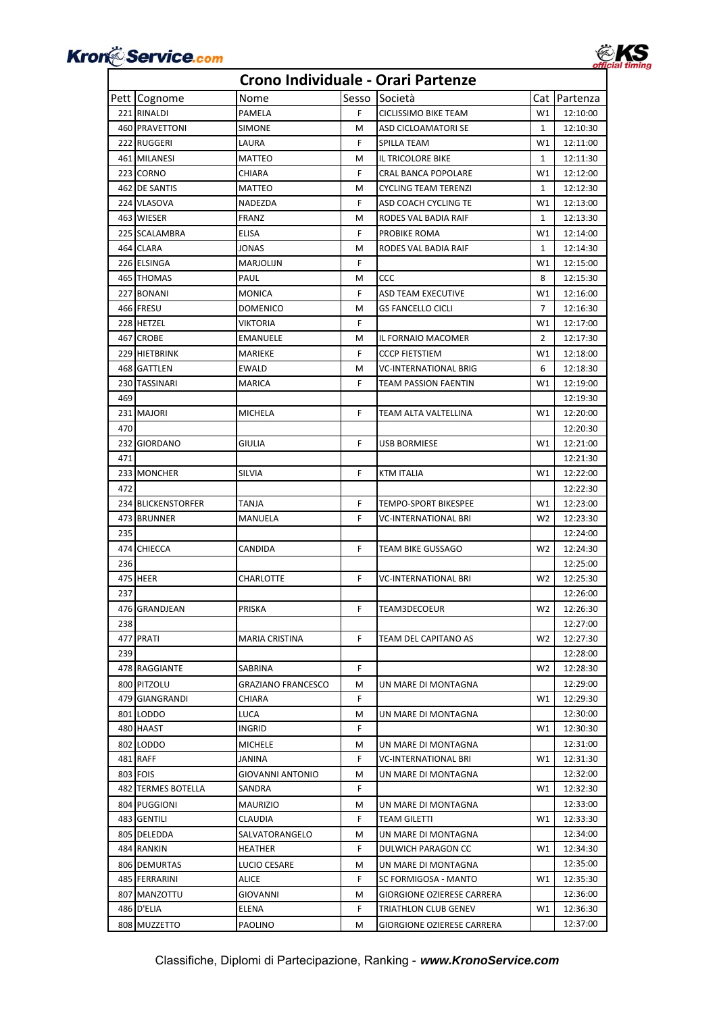



|     | Pett Cognome       | Nome               | Sesso | Società                    |                | Cat Partenza |
|-----|--------------------|--------------------|-------|----------------------------|----------------|--------------|
|     | 221 RINALDI        | PAMELA             | F     | CICLISSIMO BIKE TEAM       | W1             | 12:10:00     |
|     | 460 PRAVETTONI     | SIMONE             | М     | ASD CICLOAMATORI SE        | $\mathbf{1}$   | 12:10:30     |
|     | 222 RUGGERI        | LAURA              | F     | SPILLA TEAM                | W1             | 12:11:00     |
|     | 461 MILANESI       | MATTEO             | м     | IL TRICOLORE BIKE          | 1              | 12:11:30     |
|     | 223 CORNO          | CHIARA             | F.    | <b>CRAL BANCA POPOLARE</b> | W1             | 12:12:00     |
|     | 462 DE SANTIS      | MATTEO             | м     | CYCLING TEAM TERENZI       | $\mathbf{1}$   | 12:12:30     |
|     | 224 VLASOVA        | NADEZDA            | F     | ASD COACH CYCLING TE       | W1             | 12:13:00     |
|     | 463 WIESER         | FRANZ              | M     | RODES VAL BADIA RAIF       | 1              | 12:13:30     |
|     | 225 SCALAMBRA      | ELISA              | F     | PROBIKE ROMA               | W1             | 12:14:00     |
|     | 464 CLARA          | JONAS              | м     | RODES VAL BADIA RAIF       | 1              | 12:14:30     |
|     | 226 ELSINGA        | MARJOLIJN          | F.    |                            | W1             | 12:15:00     |
|     | 465 THOMAS         | PAUL               | M     | CCC                        | 8              | 12:15:30     |
|     | 227 BONANI         | MONICA             | F     | ASD TEAM EXECUTIVE         | W1             | 12:16:00     |
|     | 466 FRESU          | DOMENICO           | M     | GS FANCELLO CICLI          | 7              | 12:16:30     |
|     | 228 HETZEL         | VIKTORIA           | F     |                            | W1             | 12:17:00     |
|     | 467 CROBE          | EMANUELE           | м     | IL FORNAIO MACOMER         | $\overline{2}$ | 12:17:30     |
|     | 229 HIETBRINK      | MARIEKE            | F     | CCCP FIETSTIEM             | W1             | 12:18:00     |
|     | 468 GATTLEN        | EWALD              | м     | VC-INTERNATIONAL BRIG      | 6              | 12:18:30     |
|     | 230 TASSINARI      | MARICA             | F.    | TEAM PASSION FAENTIN       | W1             | 12:19:00     |
| 469 |                    |                    |       |                            |                | 12:19:30     |
|     | 231 MAJORI         | MICHELA            | F.    | TEAM ALTA VALTELLINA       | W1             | 12:20:00     |
| 470 |                    |                    |       |                            |                | 12:20:30     |
|     | 232 GIORDANO       | GIULIA             | F.    | <b>USB BORMIESE</b>        | W1             | 12:21:00     |
| 471 |                    |                    |       |                            |                |              |
|     | 233 MONCHER        | SILVIA             | F.    |                            | W1             | 12:21:30     |
| 472 |                    |                    |       | KTM ITALIA                 |                | 12:22:00     |
|     |                    |                    | F     |                            |                | 12:22:30     |
|     | 234 BLICKENSTORFER | TANJA              |       | TEMPO-SPORT BIKESPEE       | W1             | 12:23:00     |
|     | 473 BRUNNER        | MANUELA            | F     | VC-INTERNATIONAL BRI       | W2             | 12:23:30     |
| 235 |                    |                    |       |                            |                | 12:24:00     |
|     | 474 CHIECCA        | CANDIDA            | F.    | TEAM BIKE GUSSAGO          | W <sub>2</sub> | 12:24:30     |
| 236 |                    |                    |       |                            |                | 12:25:00     |
|     | 475 HEER           | CHARLOTTE          | F     | VC-INTERNATIONAL BRI       | W <sub>2</sub> | 12:25:30     |
| 237 |                    |                    |       |                            |                | 12:26:00     |
|     | 476 GRANDJEAN      | PRISKA             | F.    | TEAM3DECOEUR               | W <sub>2</sub> | 12:26:30     |
| 238 |                    |                    |       |                            |                | 12:27:00     |
|     | 477 PRATI          | MARIA CRISTINA     | F.    | TEAM DEL CAPITANO AS       | W2             | 12:27:30     |
| 239 |                    |                    |       |                            |                | 12:28:00     |
|     | 478 RAGGIANTE      | SABRINA            | F     |                            | W <sub>2</sub> | 12:28:30     |
|     | 800 PITZOLU        | GRAZIANO FRANCESCO | м     | UN MARE DI MONTAGNA        |                | 12:29:00     |
|     | 479 GIANGRANDI     | CHIARA             | F.    |                            | W1             | 12:29:30     |
|     | 801 LODDO          | LUCA               | М     | UN MARE DI MONTAGNA        |                | 12:30:00     |
|     | 480 HAAST          | INGRID             | F     |                            | W1             | 12:30:30     |
|     | 802 LODDO          | MICHELE            | м     | UN MARE DI MONTAGNA        |                | 12:31:00     |
|     | 481 RAFF           | JANINA             | F     | VC-INTERNATIONAL BRI       | W1             | 12:31:30     |
|     | 803 FOIS           | GIOVANNI ANTONIO   | м     | UN MARE DI MONTAGNA        |                | 12:32:00     |
|     | 482 TERMES BOTELLA | SANDRA             | F     |                            | W1             | 12:32:30     |
|     | 804 PUGGIONI       | MAURIZIO           | м     | UN MARE DI MONTAGNA        |                | 12:33:00     |
|     | 483 GENTILI        | CLAUDIA            | F     | TEAM GILETTI               | W1             | 12:33:30     |
|     | 805 DELEDDA        | SALVATORANGELO     | м     | UN MARE DI MONTAGNA        |                | 12:34:00     |
|     | 484 RANKIN         | HEATHER            | F     | DULWICH PARAGON CC         | W1             | 12:34:30     |
|     | 806 DEMURTAS       | LUCIO CESARE       | м     | UN MARE DI MONTAGNA        |                | 12:35:00     |
|     | 485 FERRARINI      | ALICE              | F     | SC FORMIGOSA - MANTO       | W1             | 12:35:30     |
|     | 807 MANZOTTU       | GIOVANNI           | м     | GIORGIONE OZIERESE CARRERA |                | 12:36:00     |
|     | 486 D'ELIA         | ELENA              | F     | TRIATHLON CLUB GENEV       | W1             | 12:36:30     |
|     | 808 MUZZETTO       | PAOLINO            | M     | GIORGIONE OZIERESE CARRERA |                | 12:37:00     |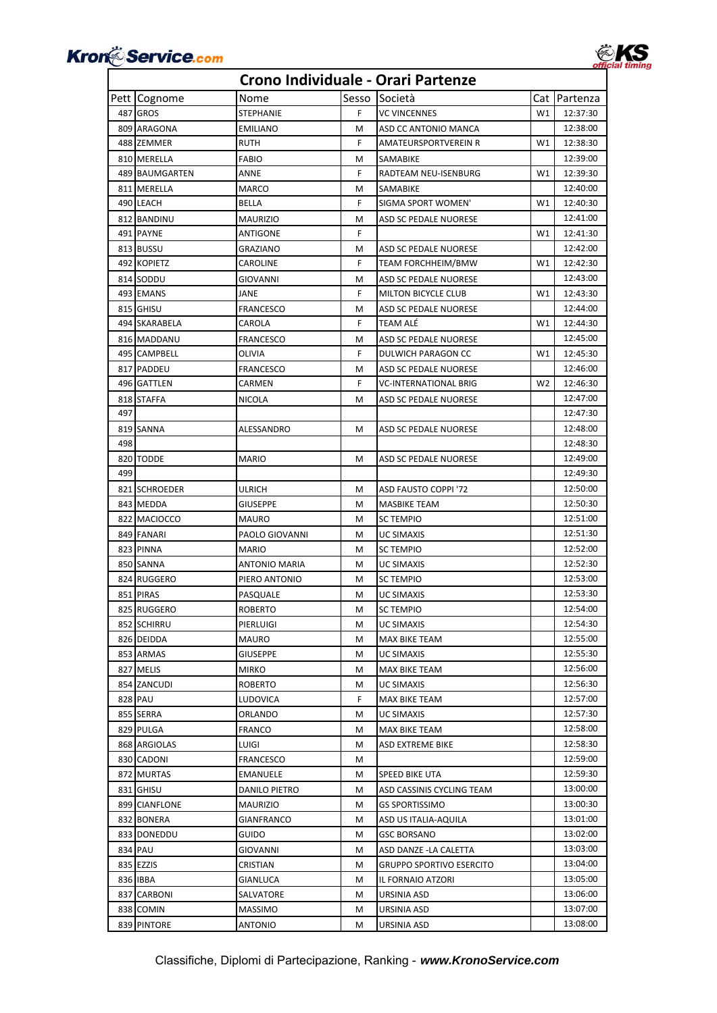



|     | Pett Cognome   | Nome                 | Sesso | Società                   |                | Cat Partenza |
|-----|----------------|----------------------|-------|---------------------------|----------------|--------------|
|     | 487 GROS       | <b>STEPHANIE</b>     | F     | <b>VC VINCENNES</b>       | W1             | 12:37:30     |
|     | 809 ARAGONA    | <b>EMILIANO</b>      | М     | ASD CC ANTONIO MANCA      |                | 12:38:00     |
|     | 488 ZEMMER     | <b>RUTH</b>          | F     | AMATEURSPORTVEREIN R      | W1             | 12:38:30     |
|     | 810 MERELLA    | <b>FABIO</b>         | M     | SAMABIKE                  |                | 12:39:00     |
|     | 489 BAUMGARTEN | ANNE                 | F     | RADTEAM NEU-ISENBURG      | W1             | 12:39:30     |
|     | 811 MERELLA    | <b>MARCO</b>         | M     | SAMABIKE                  |                | 12:40:00     |
|     | 490 LEACH      | <b>BELLA</b>         | F     | SIGMA SPORT WOMEN'        | W1             | 12:40:30     |
|     | 812 BANDINU    | <b>MAURIZIO</b>      | M     | ASD SC PEDALE NUORESE     |                | 12:41:00     |
|     | 491 PAYNE      | ANTIGONE             | F     |                           | W1             | 12:41:30     |
|     | 813 BUSSU      | GRAZIANO             | M     | ASD SC PEDALE NUORESE     |                | 12:42:00     |
|     | 492 KOPIETZ    | CAROLINE             | F     | TEAM FORCHHEIM/BMW        | W1             | 12:42:30     |
|     | 814 SODDU      | GIOVANNI             | M     | ASD SC PEDALE NUORESE     |                | 12:43:00     |
|     | 493 EMANS      | JANE                 | F     | MILTON BICYCLE CLUB       | W1             | 12:43:30     |
|     | 815 GHISU      | FRANCESCO            | M     | ASD SC PEDALE NUORESE     |                | 12:44:00     |
|     | 494 SKARABELA  | CAROLA               | F     | TEAM ALÉ                  | W1             | 12:44:30     |
|     | 816 MADDANU    | <b>FRANCESCO</b>     | M     | ASD SC PEDALE NUORESE     |                | 12:45:00     |
|     | 495 CAMPBELL   | OLIVIA               | F     | DULWICH PARAGON CC        | W1             | 12:45:30     |
|     | 817 PADDEU     | <b>FRANCESCO</b>     | M     | ASD SC PEDALE NUORESE     |                | 12:46:00     |
|     | 496 GATTLEN    | CARMEN               | F     | VC-INTERNATIONAL BRIG     | W <sub>2</sub> | 12:46:30     |
|     | 818 STAFFA     | <b>NICOLA</b>        | M     | ASD SC PEDALE NUORESE     |                | 12:47:00     |
| 497 |                |                      |       |                           |                | 12:47:30     |
|     |                |                      |       |                           |                | 12:48:00     |
| 498 | 819 SANNA      | ALESSANDRO           | м     | ASD SC PEDALE NUORESE     |                |              |
|     |                |                      |       |                           |                | 12:48:30     |
|     | 820 TODDE      | MARIO                | м     | ASD SC PEDALE NUORESE     |                | 12:49:00     |
| 499 |                |                      |       |                           |                | 12:49:30     |
|     | 821 SCHROEDER  | ulrich               | M     | ASD FAUSTO COPPI '72      |                | 12:50:00     |
|     | 843 MEDDA      | GIUSEPPE             | M     | <b>MASBIKE TEAM</b>       |                | 12:50:30     |
|     | 822 MACIOCCO   | <b>MAURO</b>         | M     | <b>SC TEMPIO</b>          |                | 12:51:00     |
|     | 849 FANARI     | PAOLO GIOVANNI       | M     | UC SIMAXIS                |                | 12:51:30     |
|     | 823 PINNA      | MARIO                | M     | <b>SC TEMPIO</b>          |                | 12:52:00     |
|     | 850 SANNA      | <b>ANTONIO MARIA</b> | M     | <b>UC SIMAXIS</b>         |                | 12:52:30     |
|     | 824 RUGGERO    | PIERO ANTONIO        | M     | <b>SC TEMPIO</b>          |                | 12:53:00     |
|     | 851 PIRAS      | PASQUALE             | M     | <b>UC SIMAXIS</b>         |                | 12:53:30     |
|     | 825 RUGGERO    | ROBERTO              | M     | <b>SC TEMPIO</b>          |                | 12:54:00     |
|     | 852 SCHIRRU    | PIERLUIGI            | M     | <b>UC SIMAXIS</b>         |                | 12:54:30     |
|     | 826 DEIDDA     | MAURO                | м     | MAX BIKE TEAM             |                | 12:55:00     |
|     | 853 ARMAS      | GIUSEPPE             | м     | <b>UC SIMAXIS</b>         |                | 12:55:30     |
|     | 827 MELIS      | <b>MIRKO</b>         | м     | MAX BIKE TEAM             |                | 12:56:00     |
|     | 854 ZANCUDI    | <b>ROBERTO</b>       | М     | UC SIMAXIS                |                | 12:56:30     |
|     | 828 PAU        | LUDOVICA             | F     | MAX BIKE TEAM             |                | 12:57:00     |
|     | 855 SERRA      | ORLANDO              | м     | <b>UC SIMAXIS</b>         |                | 12:57:30     |
|     | 829 PULGA      | FRANCO               | M     | MAX BIKE TEAM             |                | 12:58:00     |
|     | 868 ARGIOLAS   | LUIGI                | M     | ASD EXTREME BIKE          |                | 12:58:30     |
|     | 830 CADONI     | FRANCESCO            | M     |                           |                | 12:59:00     |
|     | 872 MURTAS     | EMANUELE             | M     | SPEED BIKE UTA            |                | 12:59:30     |
|     | 831 GHISU      | DANILO PIETRO        | M     | ASD CASSINIS CYCLING TEAM |                | 13:00:00     |
|     | 899 CIANFLONE  | <b>MAURIZIO</b>      | M     | <b>GS SPORTISSIMO</b>     |                | 13:00:30     |
|     | 832 BONERA     | GIANFRANCO           | M     | ASD US ITALIA-AQUILA      |                | 13:01:00     |
|     | 833 DONEDDU    | GUIDO                | м     | GSC BORSANO               |                | 13:02:00     |
|     | 834 PAU        | GIOVANNI             | M     | ASD DANZE -LA CALETTA     |                | 13:03:00     |
|     | 835 EZZIS      | CRISTIAN             | м     | GRUPPO SPORTIVO ESERCITO  |                | 13:04:00     |
|     | 836 IBBA       | GIANLUCA             | M     | IL FORNAIO ATZORI         |                | 13:05:00     |
|     | 837 CARBONI    | SALVATORE            | м     | URSINIA ASD               |                | 13:06:00     |
|     | 838 COMIN      | MASSIMO              | м     | URSINIA ASD               |                | 13:07:00     |
|     | 839 PINTORE    | ANTONIO              | M     | URSINIA ASD               |                | 13:08:00     |
|     |                |                      |       |                           |                |              |